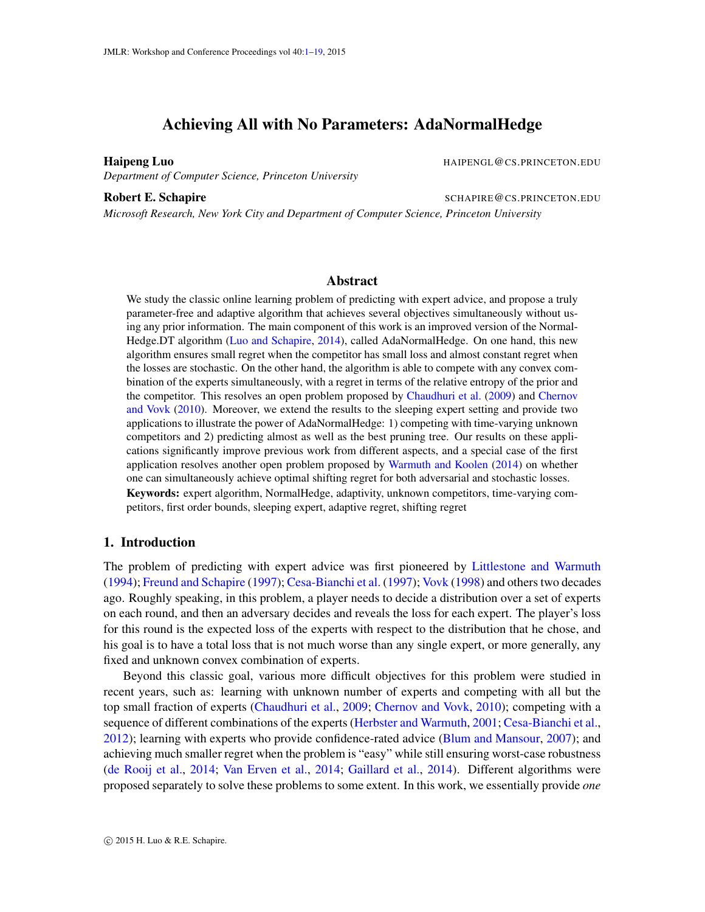# Achieving All with No Parameters: AdaNormalHedge

<span id="page-0-0"></span>

*Department of Computer Science, Princeton University*

<span id="page-0-1"></span>**Haipeng Luo HAIPENGL@CS.PRINCETON.EDU** 

Robert E. Schapire SCHAPIRE & SCHAPIRE & CS.PRINCETON.EDU

*Microsoft Research, New York City and Department of Computer Science, Princeton University*

#### Abstract

We study the classic online learning problem of predicting with expert advice, and propose a truly parameter-free and adaptive algorithm that achieves several objectives simultaneously without using any prior information. The main component of this work is an improved version of the Normal-Hedge.DT algorithm [\(Luo and Schapire,](#page-13-0) [2014\)](#page-13-0), called AdaNormalHedge. On one hand, this new algorithm ensures small regret when the competitor has small loss and almost constant regret when the losses are stochastic. On the other hand, the algorithm is able to compete with any convex combination of the experts simultaneously, with a regret in terms of the relative entropy of the prior and the competitor. This resolves an open problem proposed by [Chaudhuri et al.](#page-12-0) [\(2009\)](#page-12-0) and [Chernov](#page-12-1) [and Vovk](#page-12-1) [\(2010\)](#page-12-1). Moreover, we extend the results to the sleeping expert setting and provide two applications to illustrate the power of AdaNormalHedge: 1) competing with time-varying unknown competitors and 2) predicting almost as well as the best pruning tree. Our results on these applications significantly improve previous work from different aspects, and a special case of the first application resolves another open problem proposed by [Warmuth and Koolen](#page-13-1) [\(2014\)](#page-13-1) on whether one can simultaneously achieve optimal shifting regret for both adversarial and stochastic losses. Keywords: expert algorithm, NormalHedge, adaptivity, unknown competitors, time-varying competitors, first order bounds, sleeping expert, adaptive regret, shifting regret

## 1. Introduction

The problem of predicting with expert advice was first pioneered by [Littlestone and Warmuth](#page-13-2) [\(1994\)](#page-13-2); [Freund and Schapire](#page-12-2) [\(1997\)](#page-12-2); [Cesa-Bianchi et al.](#page-12-3) [\(1997\)](#page-12-3); [Vovk](#page-13-3) [\(1998\)](#page-13-3) and others two decades ago. Roughly speaking, in this problem, a player needs to decide a distribution over a set of experts on each round, and then an adversary decides and reveals the loss for each expert. The player's loss for this round is the expected loss of the experts with respect to the distribution that he chose, and his goal is to have a total loss that is not much worse than any single expert, or more generally, any fixed and unknown convex combination of experts.

Beyond this classic goal, various more difficult objectives for this problem were studied in recent years, such as: learning with unknown number of experts and competing with all but the top small fraction of experts [\(Chaudhuri et al.,](#page-12-0) [2009;](#page-12-0) [Chernov and Vovk,](#page-12-1) [2010\)](#page-12-1); competing with a sequence of different combinations of the experts [\(Herbster and Warmuth,](#page-13-4) [2001;](#page-13-4) [Cesa-Bianchi et al.,](#page-12-4) [2012\)](#page-12-4); learning with experts who provide confidence-rated advice [\(Blum and Mansour,](#page-12-5) [2007\)](#page-12-5); and achieving much smaller regret when the problem is "easy" while still ensuring worst-case robustness [\(de Rooij et al.,](#page-12-6) [2014;](#page-12-6) [Van Erven et al.,](#page-13-5) [2014;](#page-13-5) [Gaillard et al.,](#page-12-7) [2014\)](#page-12-7). Different algorithms were proposed separately to solve these problems to some extent. In this work, we essentially provide *one*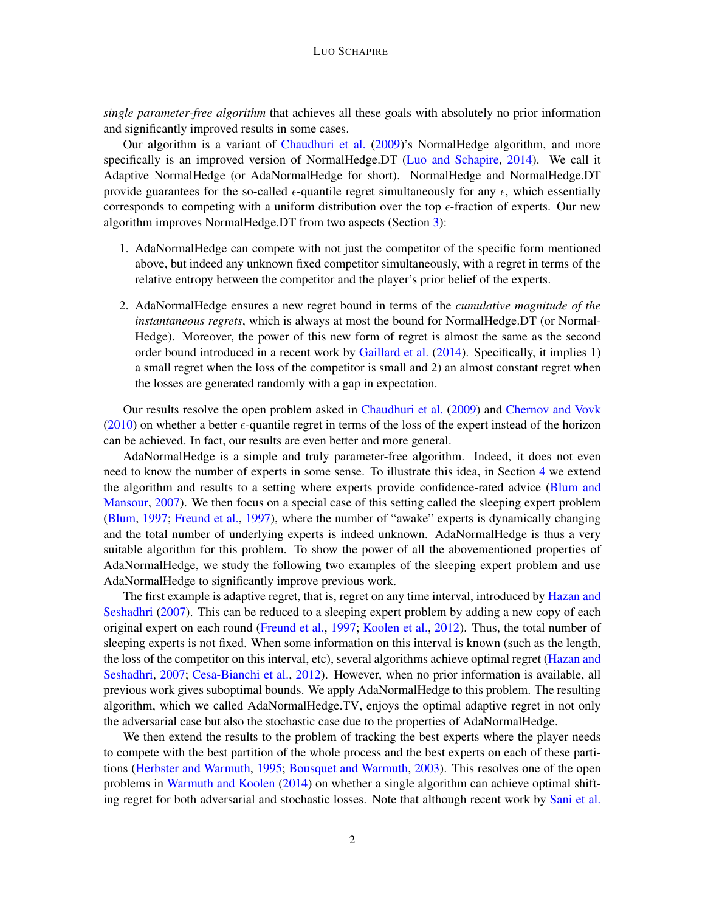*single parameter-free algorithm* that achieves all these goals with absolutely no prior information and significantly improved results in some cases.

Our algorithm is a variant of [Chaudhuri et al.](#page-12-0) [\(2009\)](#page-12-0)'s NormalHedge algorithm, and more specifically is an improved version of NormalHedge.DT [\(Luo and Schapire,](#page-13-0) [2014\)](#page-13-0). We call it Adaptive NormalHedge (or AdaNormalHedge for short). NormalHedge and NormalHedge.DT provide guarantees for the so-called  $\epsilon$ -quantile regret simultaneously for any  $\epsilon$ , which essentially corresponds to competing with a uniform distribution over the top  $\epsilon$ -fraction of experts. Our new algorithm improves NormalHedge.DT from two aspects (Section [3\)](#page-3-0):

- 1. AdaNormalHedge can compete with not just the competitor of the specific form mentioned above, but indeed any unknown fixed competitor simultaneously, with a regret in terms of the relative entropy between the competitor and the player's prior belief of the experts.
- 2. AdaNormalHedge ensures a new regret bound in terms of the *cumulative magnitude of the instantaneous regrets*, which is always at most the bound for NormalHedge.DT (or Normal-Hedge). Moreover, the power of this new form of regret is almost the same as the second order bound introduced in a recent work by [Gaillard et al.](#page-12-7) [\(2014\)](#page-12-7). Specifically, it implies 1) a small regret when the loss of the competitor is small and 2) an almost constant regret when the losses are generated randomly with a gap in expectation.

Our results resolve the open problem asked in [Chaudhuri et al.](#page-12-0) [\(2009\)](#page-12-0) and [Chernov and Vovk](#page-12-1) [\(2010\)](#page-12-1) on whether a better  $\epsilon$ -quantile regret in terms of the loss of the expert instead of the horizon can be achieved. In fact, our results are even better and more general.

AdaNormalHedge is a simple and truly parameter-free algorithm. Indeed, it does not even need to know the number of experts in some sense. To illustrate this idea, in Section [4](#page-6-0) we extend the algorithm and results to a setting where experts provide confidence-rated advice [\(Blum and](#page-12-5) [Mansour,](#page-12-5) [2007\)](#page-12-5). We then focus on a special case of this setting called the sleeping expert problem [\(Blum,](#page-12-8) [1997;](#page-12-8) [Freund et al.,](#page-12-9) [1997\)](#page-12-9), where the number of "awake" experts is dynamically changing and the total number of underlying experts is indeed unknown. AdaNormalHedge is thus a very suitable algorithm for this problem. To show the power of all the abovementioned properties of AdaNormalHedge, we study the following two examples of the sleeping expert problem and use AdaNormalHedge to significantly improve previous work.

The first example is adaptive regret, that is, regret on any time interval, introduced by [Hazan and](#page-12-10) [Seshadhri](#page-12-10) [\(2007\)](#page-12-10). This can be reduced to a sleeping expert problem by adding a new copy of each original expert on each round [\(Freund et al.,](#page-12-9) [1997;](#page-12-9) [Koolen et al.,](#page-13-6) [2012\)](#page-13-6). Thus, the total number of sleeping experts is not fixed. When some information on this interval is known (such as the length, the loss of the competitor on this interval, etc), several algorithms achieve optimal regret [\(Hazan and](#page-12-10) [Seshadhri,](#page-12-10) [2007;](#page-12-10) [Cesa-Bianchi et al.,](#page-12-4) [2012\)](#page-12-4). However, when no prior information is available, all previous work gives suboptimal bounds. We apply AdaNormalHedge to this problem. The resulting algorithm, which we called AdaNormalHedge.TV, enjoys the optimal adaptive regret in not only the adversarial case but also the stochastic case due to the properties of AdaNormalHedge.

We then extend the results to the problem of tracking the best experts where the player needs to compete with the best partition of the whole process and the best experts on each of these partitions [\(Herbster and Warmuth,](#page-13-7) [1995;](#page-13-7) [Bousquet and Warmuth,](#page-12-11) [2003\)](#page-12-11). This resolves one of the open problems in [Warmuth and Koolen](#page-13-1) [\(2014\)](#page-13-1) on whether a single algorithm can achieve optimal shift-ing regret for both adversarial and stochastic losses. Note that although recent work by [Sani et al.](#page-13-8)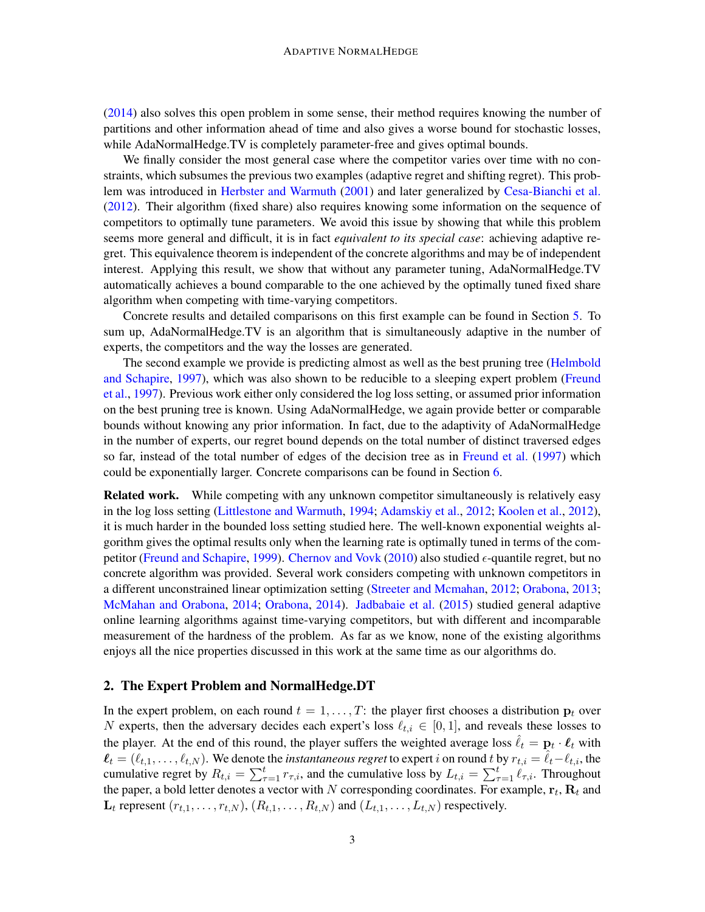[\(2014\)](#page-13-8) also solves this open problem in some sense, their method requires knowing the number of partitions and other information ahead of time and also gives a worse bound for stochastic losses, while AdaNormalHedge.TV is completely parameter-free and gives optimal bounds.

We finally consider the most general case where the competitor varies over time with no constraints, which subsumes the previous two examples (adaptive regret and shifting regret). This problem was introduced in [Herbster and Warmuth](#page-13-4) [\(2001\)](#page-13-4) and later generalized by [Cesa-Bianchi et al.](#page-12-4) [\(2012\)](#page-12-4). Their algorithm (fixed share) also requires knowing some information on the sequence of competitors to optimally tune parameters. We avoid this issue by showing that while this problem seems more general and difficult, it is in fact *equivalent to its special case*: achieving adaptive regret. This equivalence theorem is independent of the concrete algorithms and may be of independent interest. Applying this result, we show that without any parameter tuning, AdaNormalHedge.TV automatically achieves a bound comparable to the one achieved by the optimally tuned fixed share algorithm when competing with time-varying competitors.

Concrete results and detailed comparisons on this first example can be found in Section [5.](#page-7-0) To sum up, AdaNormalHedge.TV is an algorithm that is simultaneously adaptive in the number of experts, the competitors and the way the losses are generated.

The second example we provide is predicting almost as well as the best pruning tree [\(Helmbold](#page-12-12) [and Schapire,](#page-12-12) [1997\)](#page-12-12), which was also shown to be reducible to a sleeping expert problem [\(Freund](#page-12-9) [et al.,](#page-12-9) [1997\)](#page-12-9). Previous work either only considered the log loss setting, or assumed prior information on the best pruning tree is known. Using AdaNormalHedge, we again provide better or comparable bounds without knowing any prior information. In fact, due to the adaptivity of AdaNormalHedge in the number of experts, our regret bound depends on the total number of distinct traversed edges so far, instead of the total number of edges of the decision tree as in [Freund et al.](#page-12-9) [\(1997\)](#page-12-9) which could be exponentially larger. Concrete comparisons can be found in Section [6.](#page-10-0)

**Related work.** While competing with any unknown competitor simultaneously is relatively easy in the log loss setting [\(Littlestone and Warmuth,](#page-13-2) [1994;](#page-13-2) [Adamskiy et al.,](#page-12-13) [2012;](#page-12-13) [Koolen et al.,](#page-13-6) [2012\)](#page-13-6), it is much harder in the bounded loss setting studied here. The well-known exponential weights algorithm gives the optimal results only when the learning rate is optimally tuned in terms of the com-petitor [\(Freund and Schapire,](#page-12-14) [1999\)](#page-12-14). [Chernov and Vovk](#page-12-1) [\(2010\)](#page-12-1) also studied  $\epsilon$ -quantile regret, but no concrete algorithm was provided. Several work considers competing with unknown competitors in a different unconstrained linear optimization setting [\(Streeter and Mcmahan,](#page-13-9) [2012;](#page-13-9) [Orabona,](#page-13-10) [2013;](#page-13-10) [McMahan and Orabona,](#page-13-11) [2014;](#page-13-11) [Orabona,](#page-13-12) [2014\)](#page-13-12). [Jadbabaie et al.](#page-13-13) [\(2015\)](#page-13-13) studied general adaptive online learning algorithms against time-varying competitors, but with different and incomparable measurement of the hardness of the problem. As far as we know, none of the existing algorithms enjoys all the nice properties discussed in this work at the same time as our algorithms do.

#### 2. The Expert Problem and NormalHedge.DT

In the expert problem, on each round  $t = 1, \ldots, T$ : the player first chooses a distribution  $p_t$  over N experts, then the adversary decides each expert's loss  $\ell_{t,i} \in [0, 1]$ , and reveals these losses to the player. At the end of this round, the player suffers the weighted average loss  $\hat{\ell}_t = \mathbf{p}_t \cdot \ell_t$  with  $\ell_t = (\ell_{t,1}, \ldots, \ell_{t,N})$ . We denote the *instantaneous regret* to expert *i* on round t by  $r_{t,i} = \hat{\ell}_t - \ell_{t,i}$ , the cumulative regret by  $R_{t,i} = \sum_{\tau=1}^t r_{\tau,i}$ , and the cumulative loss by  $L_{t,i} = \sum_{\tau=1}^t \ell_{\tau,i}$ . Throughout the paper, a bold letter denotes a vector with  $N$  corresponding coordinates. For example,  $\mathbf{r}_t, \mathbf{R}_t$  and  $\mathbf{L}_t$  represent  $(r_{t,1}, \ldots, r_{t,N})$ ,  $(R_{t,1}, \ldots, R_{t,N})$  and  $(L_{t,1}, \ldots, L_{t,N})$  respectively.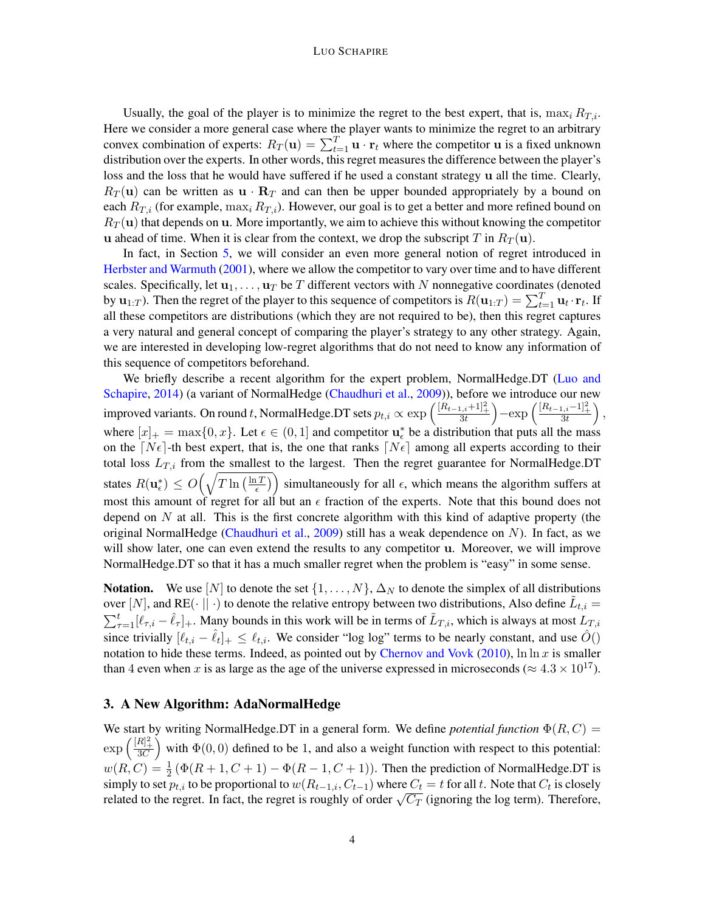#### LUO SCHAPIRE

Usually, the goal of the player is to minimize the regret to the best expert, that is,  $\max_i R_{T,i}$ . Here we consider a more general case where the player wants to minimize the regret to an arbitrary convex combination of experts:  $R_T(\mathbf{u}) = \sum_{t=1}^T \mathbf{u} \cdot \mathbf{r}_t$  where the competitor  $\mathbf{u}$  is a fixed unknown distribution over the experts. In other words, this regret measures the difference between the player's loss and the loss that he would have suffered if he used a constant strategy u all the time. Clearly,  $R_T(u)$  can be written as  $u \cdot R_T$  and can then be upper bounded appropriately by a bound on each  $R_{T,i}$  (for example,  $\max_i R_{T,i}$ ). However, our goal is to get a better and more refined bound on  $R_T(u)$  that depends on u. More importantly, we aim to achieve this without knowing the competitor u ahead of time. When it is clear from the context, we drop the subscript T in  $R_T(u)$ .

In fact, in Section [5,](#page-7-0) we will consider an even more general notion of regret introduced in [Herbster and Warmuth](#page-13-4) [\(2001\)](#page-13-4), where we allow the competitor to vary over time and to have different scales. Specifically, let  $\mathbf{u}_1, \dots, \mathbf{u}_T$  be T different vectors with N nonnegative coordinates (denoted by  $\mathbf{u}_{1:T}$ ). Then the regret of the player to this sequence of competitors is  $R(\mathbf{u}_{1:T}) = \sum_{t=1}^{T} \mathbf{u}_t \cdot \mathbf{r}_t$ . If all these competitors are distributions (which they are not required to be), then this regret captures a very natural and general concept of comparing the player's strategy to any other strategy. Again, we are interested in developing low-regret algorithms that do not need to know any information of this sequence of competitors beforehand.

We briefly describe a recent algorithm for the expert problem, NormalHedge.DT [\(Luo and](#page-13-0) [Schapire,](#page-13-0) [2014\)](#page-13-0) (a variant of NormalHedge [\(Chaudhuri et al.,](#page-12-0) [2009\)](#page-12-0)), before we introduce our new improved variants. On round t, NormalHedge.DT sets  $p_{t,i} \propto \exp\left(\frac{[R_{t-1,i}+1]_+^2}{3t}\right) - \exp\left(\frac{[R_{t-1,i}-1]_+^2}{3t}\right)$ , where  $[x]_+ = \max\{0, x\}$ . Let  $\epsilon \in (0, 1]$  and competitor  $\mathbf{u}_{\epsilon}^*$  be a distribution that puts all the mass on the  $[N\epsilon]$ -th best expert, that is, the one that ranks  $[N\epsilon]$  among all experts according to their total loss  $L_{T,i}$  from the smallest to the largest. Then the regret guarantee for NormalHedge.DT states  $R(\mathbf{u}_{\epsilon}^*) \leq O\left(\sqrt{T \ln\left(\frac{\ln T}{\epsilon}\right)}\right)$  $\left(\frac{\overline{T}}{\epsilon}\right)$  simultaneously for all  $\epsilon$ , which means the algorithm suffers at most this amount of regret for all but an  $\epsilon$  fraction of the experts. Note that this bound does not depend on  $N$  at all. This is the first concrete algorithm with this kind of adaptive property (the original NormalHedge [\(Chaudhuri et al.,](#page-12-0) [2009\)](#page-12-0) still has a weak dependence on  $N$ ). In fact, as we will show later, one can even extend the results to any competitor **u**. Moreover, we will improve NormalHedge.DT so that it has a much smaller regret when the problem is "easy" in some sense.

**Notation.** We use [N] to denote the set  $\{1, \ldots, N\}$ ,  $\Delta_N$  to denote the simplex of all distributions over [N], and RE( $\cdot$  ||  $\cdot$ ) to denote the relative entropy between two distributions, Also define  $\tilde{L}_{t,i}$  =  $\sum_{\tau=1}^t [\ell_{\tau,i} - \hat{\ell}_{\tau}]_+$ . Many bounds in this work will be in terms of  $\tilde{L}_{T,i}$ , which is always at most  $L_{T,i}$ since trivially  $[\ell_{t,i} - \hat{\ell}_t]_+ \leq \ell_{t,i}$ . We consider "log log" terms to be nearly constant, and use  $\hat{O}()$ notation to hide these terms. Indeed, as pointed out by [Chernov and Vovk](#page-12-1) [\(2010\)](#page-12-1),  $\ln \ln x$  is smaller than 4 even when x is as large as the age of the universe expressed in microseconds ( $\approx 4.3 \times 10^{17}$ ).

#### <span id="page-3-0"></span>3. A New Algorithm: AdaNormalHedge

We start by writing NormalHedge.DT in a general form. We define *potential function*  $\Phi(R, C)$  =  $\exp\left(\frac{[R]_+^2}{3C}\right)$  with  $\Phi(0,0)$  defined to be 1, and also a weight function with respect to this potential:  $w(R, C) = \frac{1}{2} (\Phi(R + 1, C + 1) - \Phi(R - 1, C + 1))$ . Then the prediction of NormalHedge.DT is simply to set  $p_{t,i}$  to be proportional to  $w(R_{t-1,i}, C_{t-1})$  where  $C_t = t$  for all t. Note that  $C_t$  is closely simply to set  $p_{t,i}$  to be proportional to  $w(n_{t-1,i}, C_{t-1})$  where  $C_t \equiv t$  for an t. Note that  $C_t$  is closely related to the regret. In fact, the regret is roughly of order  $\sqrt{C_T}$  (ignoring the log term). Therefore,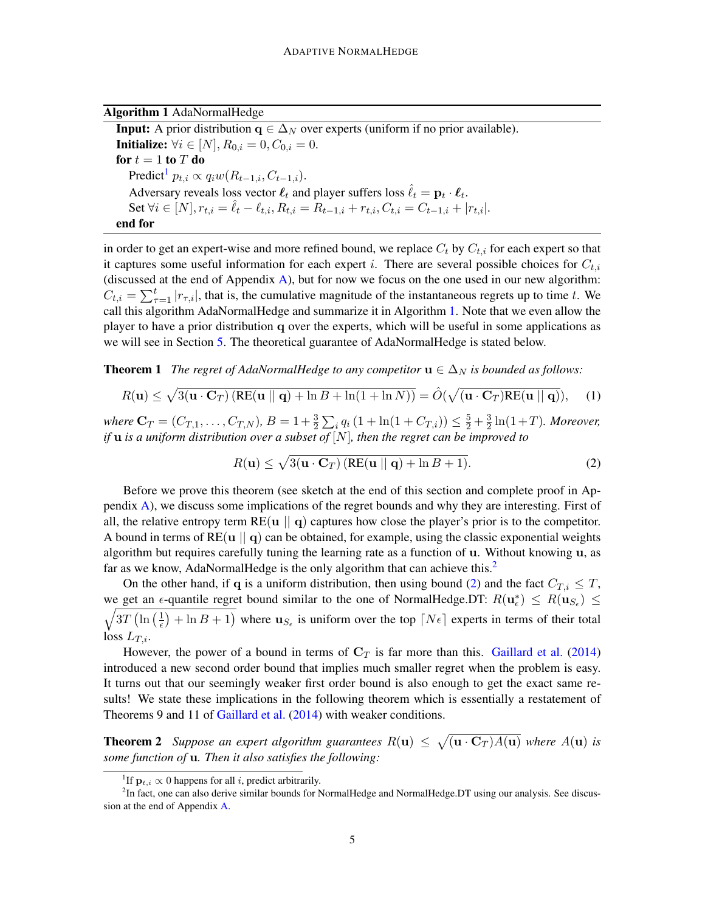|  |  | <b>Algorithm 1 AdaNormalHedge</b> |
|--|--|-----------------------------------|
|--|--|-----------------------------------|

<span id="page-4-0"></span>**Input:** A prior distribution  $q \in \Delta_N$  over experts (uniform if no prior available). **Initialize:**  $\forall i \in [N], R_{0,i} = 0, C_{0,i} = 0.$ for  $t = 1$  to  $T$  do Predict<sup>[1](#page-0-1)</sup>  $p_{t,i} \propto q_i w(R_{t-1,i}, C_{t-1,i}).$ Adversary reveals loss vector  $\ell_t$  and player suffers loss  $\hat{\ell}_t = \mathbf{p}_t \cdot \ell_t$ . Set  $\forall i \in [N], r_{t,i} = \hat{\ell}_t - \ell_{t,i}, R_{t,i} = R_{t-1,i} + r_{t,i}, C_{t,i} = C_{t-1,i} + |r_{t,i}|.$ end for

in order to get an expert-wise and more refined bound, we replace  $C_t$  by  $C_{t,i}$  for each expert so that it captures some useful information for each expert i. There are several possible choices for  $C_{t,i}$ (discussed at the end of Appendix [A\)](#page-15-0), but for now we focus on the one used in our new algorithm:  $C_{t,i} = \sum_{\tau=1}^t |r_{\tau,i}|$ , that is, the cumulative magnitude of the instantaneous regrets up to time t. We call this algorithm AdaNormalHedge and summarize it in Algorithm [1.](#page-4-0) Note that we even allow the player to have a prior distribution q over the experts, which will be useful in some applications as we will see in Section [5.](#page-7-0) The theoretical guarantee of AdaNormalHedge is stated below.

<span id="page-4-3"></span>**Theorem 1** *The regret of AdaNormalHedge to any competitor*  $\mathbf{u} \in \Delta_N$  *is bounded as follows:* 

<span id="page-4-4"></span>
$$
R(\mathbf{u}) \le \sqrt{3(\mathbf{u} \cdot \mathbf{C}_T) \left( \text{RE}(\mathbf{u} \mid \mid \mathbf{q}) + \ln B + \ln(1 + \ln N) \right)} = \hat{O}(\sqrt{(\mathbf{u} \cdot \mathbf{C}_T) \text{RE}(\mathbf{u} \mid \mid \mathbf{q})}), \quad (1)
$$

where  $\mathbf{C}_T = (C_{T,1}, \ldots, C_{T,N}), B = 1 + \frac{3}{2} \sum_i q_i (1 + \ln(1 + C_{T,i})) \leq \frac{5}{2} + \frac{3}{2}$  $\frac{3}{2}\ln(1+T)$ *. Moreover, if* u *is a uniform distribution over a subset of* [N]*, then the regret can be improved to*

<span id="page-4-1"></span>
$$
R(\mathbf{u}) \le \sqrt{3(\mathbf{u} \cdot \mathbf{C}_T) \left( \text{RE}(\mathbf{u} \mid \mid \mathbf{q}) + \ln B + 1 \right)}. \tag{2}
$$

Before we prove this theorem (see sketch at the end of this section and complete proof in Appendix [A\)](#page-15-0), we discuss some implications of the regret bounds and why they are interesting. First of all, the relative entropy term  $RE(u || q)$  captures how close the player's prior is to the competitor. A bound in terms of  $RE(u || q)$  can be obtained, for example, using the classic exponential weights algorithm but requires carefully tuning the learning rate as a function of u. Without knowing u, as far as we know, AdaNormalHedge is the only algorithm that can achieve this.<sup>[2](#page-0-1)</sup>

On the other hand, if q is a uniform distribution, then using bound [\(2\)](#page-4-1) and the fact  $C_{T,i} \leq T$ , we get an  $\epsilon$ -quantile regret bound similar to the one of NormalHedge.DT:  $R(\mathbf{u}_{\epsilon}^{*}) \leq R(\mathbf{u}_{S_{\epsilon}}) \leq$ <br>  $\sqrt{3T(\ln{(1)} + \ln{R} + 1)}$  where  $\mathbf{u}_{S_{\epsilon}}$  is uniform over the top  $[N_{\epsilon}]$  experts in terms of their total  $3T\left(\ln\left(\frac{1}{\epsilon}\right)\right)$  $(\frac{1}{\epsilon})$  + ln B + 1) where  $\mathbf{u}_{S_{\epsilon}}$  is uniform over the top  $[N\epsilon]$  experts in terms of their total loss  $L_{T,i}$ .

However, the power of a bound in terms of  $C_T$  is far more than this. [Gaillard et al.](#page-12-7) [\(2014\)](#page-12-7) introduced a new second order bound that implies much smaller regret when the problem is easy. It turns out that our seemingly weaker first order bound is also enough to get the exact same results! We state these implications in the following theorem which is essentially a restatement of Theorems 9 and 11 of [Gaillard et al.](#page-12-7) [\(2014\)](#page-12-7) with weaker conditions.

<span id="page-4-2"></span>**Theorem 2** Suppose an expert algorithm guarantees  $R(\mathbf{u}) \leq \sqrt{(\mathbf{u} \cdot \mathbf{C}_T)A(\mathbf{u})}$  where  $A(\mathbf{u})$  is *some function of* u*. Then it also satisfies the following:*

<sup>&</sup>lt;sup>1</sup>If  $\mathbf{p}_{t,i} \propto 0$  happens for all *i*, predict arbitrarily.

<sup>&</sup>lt;sup>2</sup>In fact, one can also derive similar bounds for NormalHedge and NormalHedge.DT using our analysis. See discussion at the end of Appendix [A.](#page-15-0)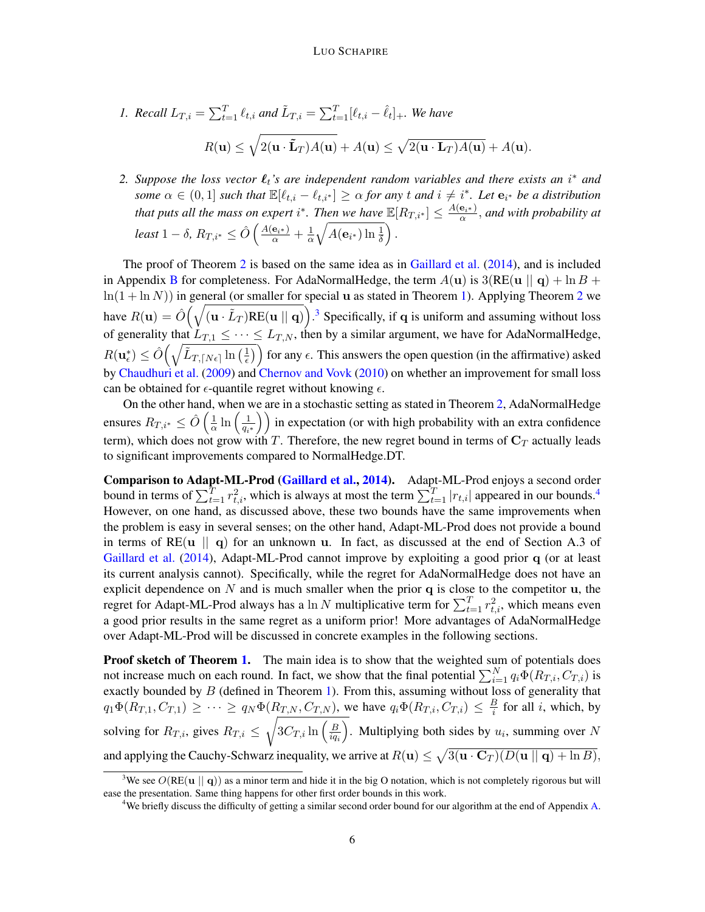1. Recall 
$$
L_{T,i} = \sum_{t=1}^{T} \ell_{t,i}
$$
 and  $\tilde{L}_{T,i} = \sum_{t=1}^{T} [\ell_{t,i} - \hat{\ell}_{t}]_+$ . We have  

$$
R(\mathbf{u}) \le \sqrt{2(\mathbf{u} \cdot \tilde{\mathbf{L}}_T)A(\mathbf{u})} + A(\mathbf{u}) \le \sqrt{2(\mathbf{u} \cdot \mathbf{L}_T)A(\mathbf{u})} + A(\mathbf{u}).
$$

2. Suppose the loss vector  $\ell_t$ 's are independent random variables and there exists an i<sup>\*</sup> and *some*  $\alpha \in (0,1]$  *such that*  $\mathbb{E}[\ell_{t,i} - \ell_{t,i^*}] \geq \alpha$  *for any* t *and*  $i \neq i^*$ . Let  $\mathbf{e}_{i^*}$  *be a distribution that puts all the mass on expert* i<sup>\*</sup>. Then we have  $\mathbb{E}[R_{T,i^*}] \leq \frac{A(e_{i^*})}{\alpha}$ , and with probability at  $least 1 - \delta$ ,  $R_{T,i^*} \leq \hat{O}\left(\frac{A(\mathbf{e}_{i^*})}{\alpha} + \frac{1}{\alpha}\right)$  $\frac{1}{\alpha}\sqrt{A({\bf e}_{i^*})\ln\frac{1}{\delta}}\Bigr)\,.$ 

The proof of Theorem [2](#page-4-2) is based on the same idea as in [Gaillard et al.](#page-12-7) [\(2014\)](#page-12-7), and is included in Appendix [B](#page-16-0) for completeness. For AdaNormalHedge, the term  $A(\mathbf{u})$  is  $3(RE(\mathbf{u} \mid \mathbf{q}) + \ln B +$  $\ln(1 + \ln N)$ ) in general (or smaller for special u as stated in Theorem [1\)](#page-4-3). Applying Theorem [2](#page-4-2) we have  $R(\mathbf{u}) = \hat{O}(\sqrt{(\mathbf{u} \cdot \tilde{L}_T)RE(\mathbf{u} \mid \mid \mathbf{q})})$ .<sup>[3](#page-0-1)</sup> Specifically, if q is uniform and assuming without loss of generality that  $L_{T,1} \leq \cdots \leq L_{T,N}$ , then by a similar argument, we have for AdaNormalHedge,  $R(\textbf{u}^*_{\epsilon}) \leq \hat{O}\Big(\sqrt{\tilde{L}_{T,\lceil N\epsilon \rceil} \ln\big(\frac{1}{\epsilon}\big) }$  $\left(\frac{1}{\epsilon}\right)$  for any  $\epsilon$ . This answers the open question (in the affirmative) asked by [Chaudhuri et al.](#page-12-0) [\(2009\)](#page-12-0) and [Chernov and Vovk](#page-12-1) [\(2010\)](#page-12-1) on whether an improvement for small loss can be obtained for  $\epsilon$ -quantile regret without knowing  $\epsilon$ .

On the other hand, when we are in a stochastic setting as stated in Theorem [2,](#page-4-2) AdaNormalHedge ensures  $R_{T,i^*} \leq \hat{O} \left( \frac{1}{\alpha} \right)$  $\frac{1}{\alpha}\ln\left(\frac{1}{q_i}\right)$  $\left(\frac{1}{q_i*}\right)$  in expectation (or with high probability with an extra confidence term), which does not grow with  $T.$  Therefore, the new regret bound in terms of  ${\bf C}_T$  actually leads to significant improvements compared to NormalHedge.DT.

Comparison to Adapt-ML-Prod [\(Gaillard et al.,](#page-12-7) [2014\)](#page-12-7). Adapt-ML-Prod enjoys a second order bound in terms of  $\sum_{t=1}^T r_{t,i}^2$ , which is always at most the term  $\sum_{t=1}^T |r_{t,i}|$  appeared in our bounds.<sup>[4](#page-0-1)</sup> However, on one hand, as discussed above, these two bounds have the same improvements when the problem is easy in several senses; on the other hand, Adapt-ML-Prod does not provide a bound in terms of  $RE(u || q)$  for an unknown u. In fact, as discussed at the end of Section A.3 of [Gaillard et al.](#page-12-7) [\(2014\)](#page-12-7), Adapt-ML-Prod cannot improve by exploiting a good prior q (or at least its current analysis cannot). Specifically, while the regret for AdaNormalHedge does not have an explicit dependence on  $N$  and is much smaller when the prior  $q$  is close to the competitor  $u$ , the regret for Adapt-ML-Prod always has a  $\ln N$  multiplicative term for  $\sum_{t=1}^{T} r_{t,i}^2$ , which means even a good prior results in the same regret as a uniform prior! More advantages of AdaNormalHedge over Adapt-ML-Prod will be discussed in concrete examples in the following sections.

Proof sketch of Theorem [1.](#page-4-3) The main idea is to show that the weighted sum of potentials does not increase much on each round. In fact, we show that the final potential  $\sum_{i=1}^{N} q_i \Phi(R_{T,i}, C_{T,i})$  is exactly bounded by  $B$  (defined in Theorem [1\)](#page-4-3). From this, assuming without loss of generality that  $q_1 \Phi(R_{T,1}, C_{T,1}) \geq \cdots \geq q_N \Phi(R_{T,N}, C_{T,N})$ , we have  $q_i \Phi(R_{T,i}, C_{T,i}) \leq \frac{B}{i}$  $\frac{B}{i}$  for all *i*, which, by solving for  $R_{T,i}$ , gives  $R_{T,i} \leq \sqrt{3C_{T,i}\ln\left(\frac{B}{ia}\right)}$  $\overline{iq_i}$ ). Multiplying both sides by  $u_i$ , summing over N and applying the Cauchy-Schwarz inequality, we arrive at  $R(\mathbf{u}) \leq \sqrt{3(\mathbf{u} \cdot \mathbf{C}_T)(D(\mathbf{u} \mid \mid \mathbf{q}) + \ln B)}$ ,

<sup>&</sup>lt;sup>3</sup>We see  $O(RE(u || q))$  as a minor term and hide it in the big O notation, which is not completely rigorous but will ease the presentation. Same thing happens for other first order bounds in this work.

<sup>4</sup>We briefly discuss the difficulty of getting a similar second order bound for our algorithm at the end of Appendix [A.](#page-15-0)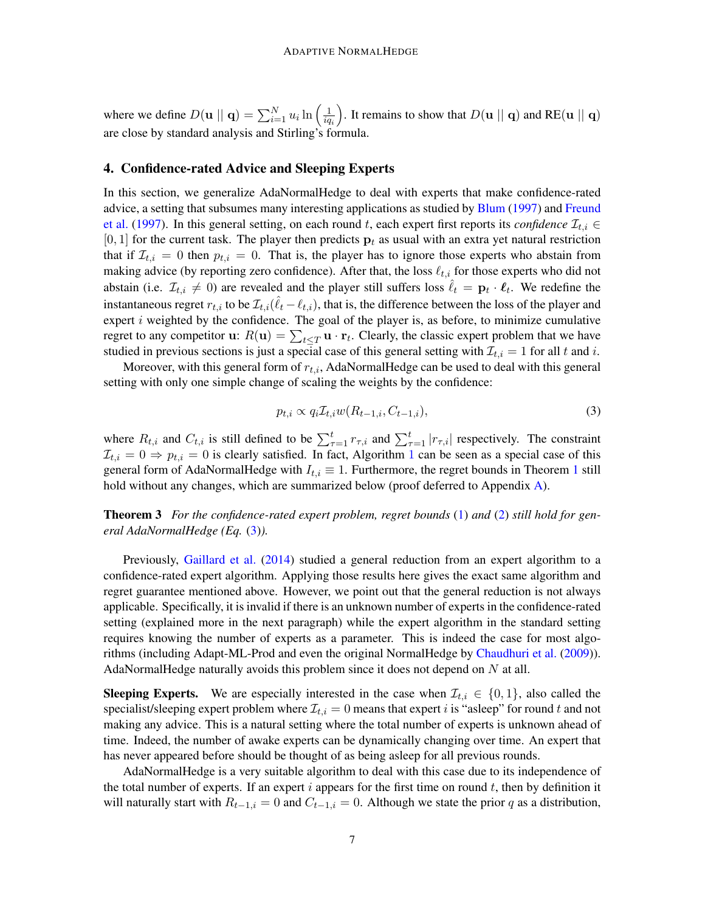where we define  $D(\mathbf{u} \mid \mid \mathbf{q}) = \sum_{i=1}^{N} u_i \ln \left( \frac{1}{iq} \right)$  $iq_i$ ). It remains to show that  $D(\mathbf{u} \parallel \mathbf{q})$  and RE( $\mathbf{u} \parallel \mathbf{q}$ ) are close by standard analysis and Stirling's formula.

#### <span id="page-6-0"></span>4. Confidence-rated Advice and Sleeping Experts

In this section, we generalize AdaNormalHedge to deal with experts that make confidence-rated advice, a setting that subsumes many interesting applications as studied by [Blum](#page-12-8) [\(1997\)](#page-12-8) and [Freund](#page-12-9) [et al.](#page-12-9) [\(1997\)](#page-12-9). In this general setting, on each round t, each expert first reports its *confidence*  $\mathcal{I}_{t,i} \in$ [0, 1] for the current task. The player then predicts  $p_t$  as usual with an extra yet natural restriction that if  $\mathcal{I}_{t,i} = 0$  then  $p_{t,i} = 0$ . That is, the player has to ignore those experts who abstain from making advice (by reporting zero confidence). After that, the loss  $\ell_{t,i}$  for those experts who did not abstain (i.e.  $\mathcal{I}_{t,i} \neq 0$ ) are revealed and the player still suffers loss  $\hat{\ell}_t = \mathbf{p}_t \cdot \mathbf{\ell}_t$ . We redefine the instantaneous regret  $r_{t,i}$  to be  $\mathcal{I}_{t,i}(\hat{\ell}_t - \ell_{t,i})$ , that is, the difference between the loss of the player and expert  $i$  weighted by the confidence. The goal of the player is, as before, to minimize cumulative regret to any competitor **u**:  $R(\mathbf{u}) = \sum_{t \leq T} \mathbf{u} \cdot \mathbf{r}_t$ . Clearly, the classic expert problem that we have studied in previous sections is just a special case of this general setting with  $\mathcal{I}_{t,i} = 1$  for all t and i.

Moreover, with this general form of  $r_{t,i}$ , AdaNormalHedge can be used to deal with this general setting with only one simple change of scaling the weights by the confidence:

<span id="page-6-1"></span>
$$
p_{t,i} \propto q_i \mathcal{I}_{t,i} w(R_{t-1,i}, C_{t-1,i}),\tag{3}
$$

where  $R_{t,i}$  and  $C_{t,i}$  is still defined to be  $\sum_{\tau=1}^{t} r_{\tau,i}$  and  $\sum_{\tau=1}^{t} |r_{\tau,i}|$  respectively. The constraint  $\mathcal{I}_{t,i} = 0 \Rightarrow p_{t,i} = 0$  is clearly satisfied. In fact, Algorithm [1](#page-4-0) can be seen as a special case of this general form of AdaNormalHedge with  $I_{t,i} \equiv 1$  $I_{t,i} \equiv 1$ . Furthermore, the regret bounds in Theorem 1 still hold without any changes, which are summarized below (proof deferred to Appendix [A\)](#page-15-0).

<span id="page-6-2"></span>Theorem 3 *For the confidence-rated expert problem, regret bounds* [\(1\)](#page-4-4) *and* [\(2\)](#page-4-1) *still hold for general AdaNormalHedge (Eq.* [\(3\)](#page-6-1)*).*

Previously, [Gaillard et al.](#page-12-7) [\(2014\)](#page-12-7) studied a general reduction from an expert algorithm to a confidence-rated expert algorithm. Applying those results here gives the exact same algorithm and regret guarantee mentioned above. However, we point out that the general reduction is not always applicable. Specifically, it is invalid if there is an unknown number of experts in the confidence-rated setting (explained more in the next paragraph) while the expert algorithm in the standard setting requires knowing the number of experts as a parameter. This is indeed the case for most algorithms (including Adapt-ML-Prod and even the original NormalHedge by [Chaudhuri et al.](#page-12-0) [\(2009\)](#page-12-0)). AdaNormalHedge naturally avoids this problem since it does not depend on  $N$  at all.

**Sleeping Experts.** We are especially interested in the case when  $\mathcal{I}_{t,i} \in \{0,1\}$ , also called the specialist/sleeping expert problem where  $\mathcal{I}_{t,i} = 0$  means that expert *i* is "asleep" for round *t* and not making any advice. This is a natural setting where the total number of experts is unknown ahead of time. Indeed, the number of awake experts can be dynamically changing over time. An expert that has never appeared before should be thought of as being asleep for all previous rounds.

AdaNormalHedge is a very suitable algorithm to deal with this case due to its independence of the total number of experts. If an expert  $i$  appears for the first time on round  $t$ , then by definition it will naturally start with  $R_{t-1,i} = 0$  and  $C_{t-1,i} = 0$ . Although we state the prior q as a distribution,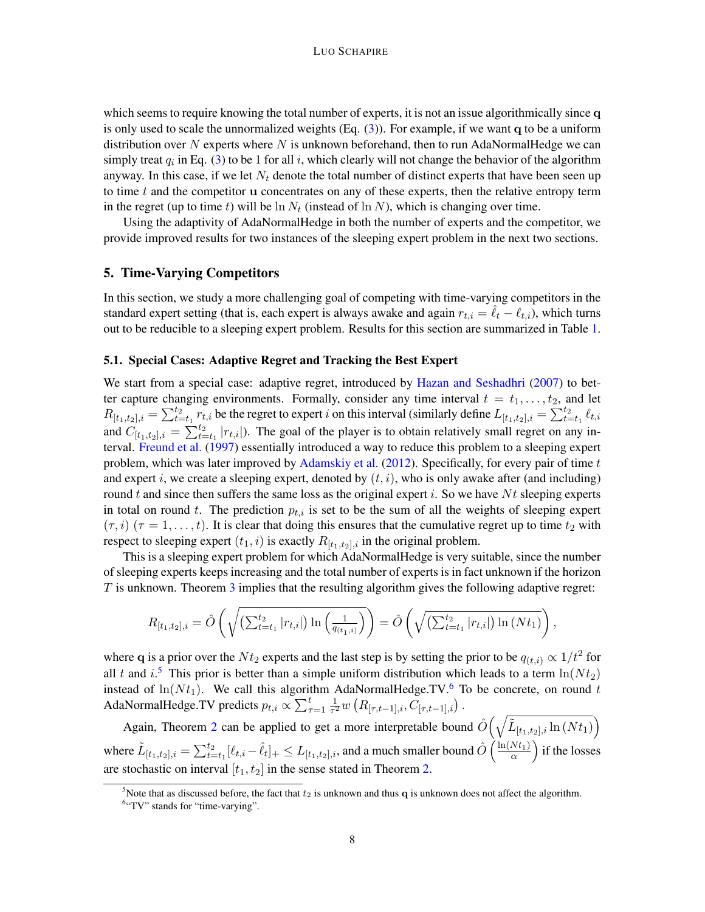which seems to require knowing the total number of experts, it is not an issue algorithmically since q is only used to scale the unnormalized weights  $(Eq. (3))$  $(Eq. (3))$  $(Eq. (3))$ . For example, if we want q to be a uniform distribution over  $N$  experts where  $N$  is unknown beforehand, then to run AdaNormalHedge we can simply treat  $q_i$  in Eq. [\(3\)](#page-6-1) to be 1 for all i, which clearly will not change the behavior of the algorithm anyway. In this case, if we let  $N_t$  denote the total number of distinct experts that have been seen up to time  $t$  and the competitor u concentrates on any of these experts, then the relative entropy term in the regret (up to time t) will be  $\ln N_t$  (instead of  $\ln N$ ), which is changing over time.

Using the adaptivity of AdaNormalHedge in both the number of experts and the competitor, we provide improved results for two instances of the sleeping expert problem in the next two sections.

#### <span id="page-7-0"></span>5. Time-Varying Competitors

In this section, we study a more challenging goal of competing with time-varying competitors in the standard expert setting (that is, each expert is always awake and again  $r_{t,i} = \ell_t - \ell_{t,i}$ ), which turns out to be reducible to a sleeping expert problem. Results for this section are summarized in Table [1.](#page-9-0)

### 5.1. Special Cases: Adaptive Regret and Tracking the Best Expert

We start from a special case: adaptive regret, introduced by [Hazan and Seshadhri](#page-12-10) [\(2007\)](#page-12-10) to better capture changing environments. Formally, consider any time interval  $t = t_1, \ldots, t_2$ , and let  $R_{[t_1,t_2],i} = \sum_{t=t_1}^{t_2} r_{t,i}$  be the regret to expert i on this interval (similarly define  $L_{[t_1,t_2],i} = \sum_{t=t_1}^{t_2} \ell_{t,i}$ and  $C_{[t_1,t_2],i} = \sum_{t=t_1}^{t_2} |r_{t,i}|$ . The goal of the player is to obtain relatively small regret on any interval. [Freund et al.](#page-12-9) [\(1997\)](#page-12-9) essentially introduced a way to reduce this problem to a sleeping expert problem, which was later improved by [Adamskiy et al.](#page-12-13) [\(2012\)](#page-12-13). Specifically, for every pair of time  $t$ and expert i, we create a sleeping expert, denoted by  $(t, i)$ , who is only awake after (and including) round t and since then suffers the same loss as the original expert i. So we have  $Nt$  sleeping experts in total on round t. The prediction  $p_{t,i}$  is set to be the sum of all the weights of sleeping expert  $(\tau, i)$   $(\tau = 1, \ldots, t)$ . It is clear that doing this ensures that the cumulative regret up to time  $t_2$  with respect to sleeping expert  $(t_1, i)$  is exactly  $R_{[t_1, t_2], i}$  in the original problem.

This is a sleeping expert problem for which AdaNormalHedge is very suitable, since the number of sleeping experts keeps increasing and the total number of experts is in fact unknown if the horizon  $T$  is unknown. Theorem [3](#page-6-2) implies that the resulting algorithm gives the following adaptive regret:

$$
R_{[t_1,t_2],i} = \hat{O}\left(\sqrt{\left(\sum_{t=t_1}^{t_2} |r_{t,i}|\right) \ln\left(\frac{1}{q_{(t_1,i)}}\right)}\right) = \hat{O}\left(\sqrt{\left(\sum_{t=t_1}^{t_2} |r_{t,i}|\right) \ln\left(Nt_1\right)}\right),
$$

where q is a prior over the  $Nt_2$  experts and the last step is by setting the prior to be  $q_{(t,i)} \propto 1/t^2$  for all t and  $i$ <sup>[5](#page-0-1)</sup>. This prior is better than a simple uniform distribution which leads to a term  $\ln(Nt_2)$ instead of  $ln(N t_1)$ . We call this algorithm AdaNormalHedge.TV.<sup>[6](#page-0-1)</sup> To be concrete, on round t AdaNormalHedge.TV predicts  $p_{t,i} \propto \sum_{\tau=1}^t \frac{1}{\tau^2}$  $\frac{1}{\tau^2} w\left(R_{[\tau,t-1],i}, C_{[\tau,t-1],i}\right).$ 

Again, Theorem [2](#page-4-2) can be applied to get a more interpretable bound  $\hat{O}\left(\sqrt{\tilde{L}_{[t_1,t_2],i}\ln{(N t_1)}}\right)$ where  $\tilde{L}_{[t_1,t_2],i} = \sum_{t=t_1}^{t_2} [\ell_{t,i} - \hat{\ell}_{t}]_+ \leq L_{[t_1,t_2],i}$ , and a much smaller bound  $\hat{O}\left(\frac{\ln(Nt_1)}{\alpha}\right)$  $\frac{Nt_1)}{\alpha}$  if the losses are stochastic on interval  $[t_1, t_2]$  in the sense stated in Theorem [2.](#page-4-2)

<sup>&</sup>lt;sup>5</sup>Note that as discussed before, the fact that  $t_2$  is unknown and thus q is unknown does not affect the algorithm.

<sup>&</sup>lt;sup>6</sup>"TV" stands for "time-varying".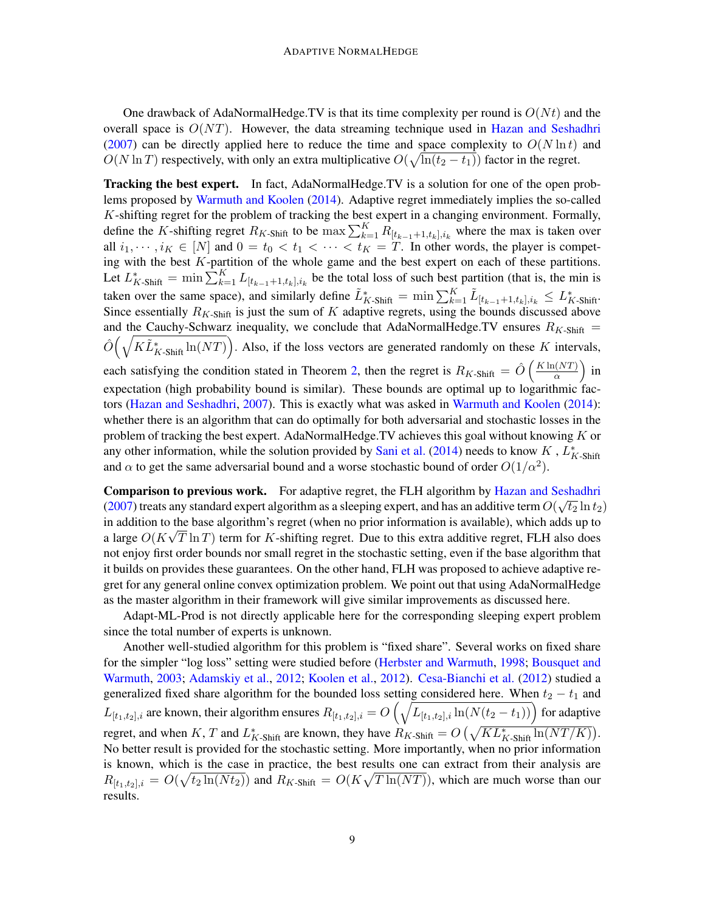One drawback of AdaNormalHedge.TV is that its time complexity per round is  $O(Nt)$  and the overall space is  $O(NT)$ . However, the data streaming technique used in [Hazan and Seshadhri](#page-12-10) [\(2007\)](#page-12-10) can be directly applied here to reduce the time and space complexity to  $O(N \ln t)$  and  $O(N \ln T)$  respectively, with only an extra multiplicative  $O(\sqrt{\ln(t_2 - t_1)})$  factor in the regret.

Tracking the best expert. In fact, AdaNormalHedge.TV is a solution for one of the open problems proposed by [Warmuth and Koolen](#page-13-1) [\(2014\)](#page-13-1). Adaptive regret immediately implies the so-called K-shifting regret for the problem of tracking the best expert in a changing environment. Formally, define the K-shifting regret  $R_{K\text{-Shift}}$  to be  $\max\sum_{k=1}^{K} R_{[t_{k-1}+1,t_k],i_k}$  where the max is taken over all  $i_1, \dots, i_K \in [N]$  and  $0 = t_0 < t_1 < \dots < t_K = T$ . In other words, the player is competing with the best  $K$ -partition of the whole game and the best expert on each of these partitions. Let  $L_{K\text{-Shift}}^* = \min \sum_{k=1}^K L_{[t_{k-1}+1,t_k],i_k}$  be the total loss of such best partition (that is, the min is taken over the same space), and similarly define  $\tilde{L}_{K\text{-Shift}}^* = \min \sum_{k=1}^K \tilde{L}_{[t_{k-1}+1,t_k],i_k} \le L_{K\text{-Shift}}^*$ . Since essentially  $R_{K\text{-Shift}}$  is just the sum of K adaptive regrets, using the bounds discussed above and the Cauchy-Schwarz inequality, we conclude that AdaNormalHedge.TV ensures  $R_{K\text{-}Shift}$  =  $\hat{O}(\sqrt{K\tilde{L}_{K\text{-Shift}}^{*}\ln(NT)})$ . Also, if the loss vectors are generated randomly on these K intervals, each satisfying the condition stated in Theorem [2,](#page-4-2) then the regret is  $R_{K\text{-Shift}} = \hat{O}\left(\frac{K\ln(NT)}{\alpha}\right)$  $rac{(NT)}{\alpha}$  in expectation (high probability bound is similar). These bounds are optimal up to logarithmic factors [\(Hazan and Seshadhri,](#page-12-10) [2007\)](#page-12-10). This is exactly what was asked in [Warmuth and Koolen](#page-13-1) [\(2014\)](#page-13-1): whether there is an algorithm that can do optimally for both adversarial and stochastic losses in the problem of tracking the best expert. AdaNormalHedge.TV achieves this goal without knowing  $K$  or any other information, while the solution provided by [Sani et al.](#page-13-8) [\(2014\)](#page-13-8) needs to know  $K$ ,  $L_{K\text{-Shift}}^*$ and  $\alpha$  to get the same adversarial bound and a worse stochastic bound of order  $O(1/\alpha^2)$ .

Comparison to previous work. For adaptive regret, the FLH algorithm by [Hazan and Seshadhri](#page-12-10) [\(2007\)](#page-12-10) treats any standard expert algorithm as a sleeping expert, and has an additive term  $O(\sqrt{t_2} \ln t_2)$ in addition to the base algorithm's regret (when no prior information is available), which adds up to a large  $O(K\sqrt{T \ln T})$  term for K-shifting regret. Due to this extra additive regret, FLH also does not enjoy first order bounds nor small regret in the stochastic setting, even if the base algorithm that it builds on provides these guarantees. On the other hand, FLH was proposed to achieve adaptive regret for any general online convex optimization problem. We point out that using AdaNormalHedge as the master algorithm in their framework will give similar improvements as discussed here.

Adapt-ML-Prod is not directly applicable here for the corresponding sleeping expert problem since the total number of experts is unknown.

Another well-studied algorithm for this problem is "fixed share". Several works on fixed share for the simpler "log loss" setting were studied before [\(Herbster and Warmuth,](#page-13-14) [1998;](#page-13-14) [Bousquet and](#page-12-11) [Warmuth,](#page-12-11) [2003;](#page-12-11) [Adamskiy et al.,](#page-12-13) [2012;](#page-12-13) [Koolen et al.,](#page-13-6) [2012\)](#page-13-6). [Cesa-Bianchi et al.](#page-12-4) [\(2012\)](#page-12-4) studied a generalized fixed share algorithm for the bounded loss setting considered here. When  $t_2 - t_1$  and  $L_{[t_1,t_2],i}$  are known, their algorithm ensures  $R_{[t_1,t_2],i}=O\left(\sqrt{L_{[t_1,t_2],i}\ln(N(t_2-t_1))}\right)$  for adaptive regret, and when K, T and  $L_{K\text{-Shift}}^*$  are known, they have  $R_{K\text{-Shift}} = O\left(\sqrt{KL_{K\text{-Shift}}^* \ln(NT/K)}\right)$ . No better result is provided for the stochastic setting. More importantly, when no prior information is known, which is the case in practice, the best results one can extract from their analysis are  $R_{[t_1,t_2],i} = O(\sqrt{t_2 \ln(Nt_2)})$  and  $R_{K\text{-Shift}} = O(K\sqrt{T \ln(NT)})$ , which are much worse than our results.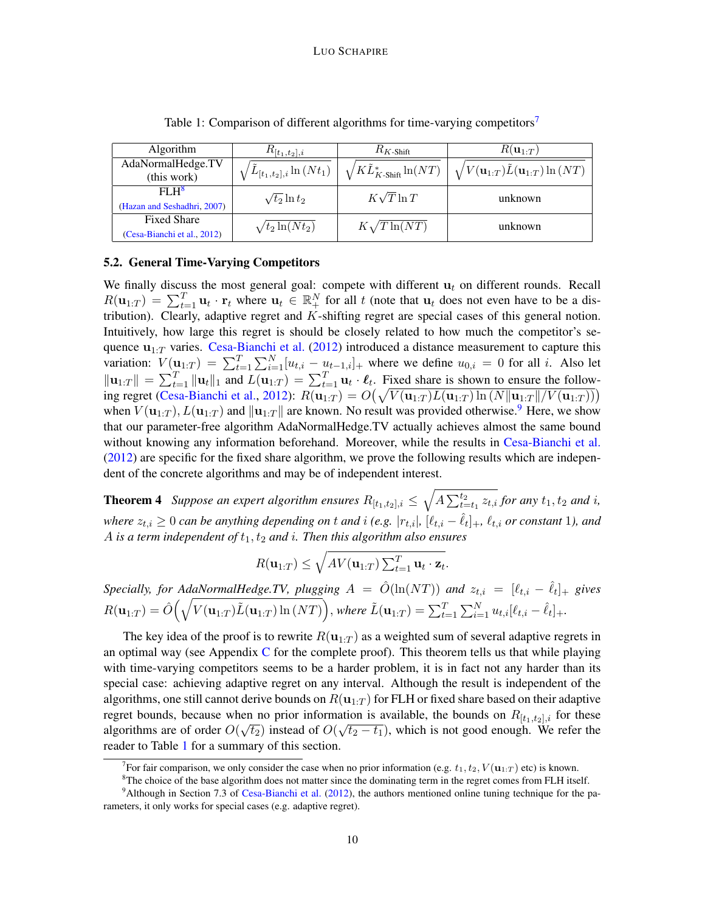<span id="page-9-0"></span>

| Algorithm                   | $R_{[t_1,t_2],i}$                | $R_{K\text{-Shift}}$                  | $R(\mathbf{u}_{1:T})$                                            |  |
|-----------------------------|----------------------------------|---------------------------------------|------------------------------------------------------------------|--|
| AdaNormalHedge.TV           |                                  |                                       | $\sqrt{V(\mathbf{u}_{1:T})\tilde{L}(\mathbf{u}_{1:T})\ln{(NT)}}$ |  |
| (this work)                 | $^{}/L_{[t_1,t_2],i}\ln{(Nt_1)}$ | $\sqrt{KL^*_{K\text{-Shift}}}\ln(NT)$ |                                                                  |  |
| FI.H <sup>8</sup>           | $\sqrt{t_2} \ln t_2$             | $K\sqrt{T}\ln T$                      | unknown                                                          |  |
| (Hazan and Seshadhri, 2007) |                                  |                                       |                                                                  |  |
| <b>Fixed Share</b>          | $\sqrt{t_2 \ln(Nt_2)}$           | $K\sqrt{T}\ln(NT)$                    | unknown                                                          |  |
| (Cesa-Bianchi et al., 2012) |                                  |                                       |                                                                  |  |

Table 1: Comparison of different algorithms for time-varying competitors<sup>[7](#page-0-1)</sup>

### 5.2. General Time-Varying Competitors

We finally discuss the most general goal: compete with different  $\mathbf{u}_t$  on different rounds. Recall  $R(\mathbf{u}_{1:T}) = \sum_{t=1}^{T} \mathbf{u}_t \cdot \mathbf{r}_t$  where  $\mathbf{u}_t \in \mathbb{R}_+^N$  for all t (note that  $\mathbf{u}_t$  does not even have to be a distribution). Clearly, adaptive regret and  $K$ -shifting regret are special cases of this general notion. Intuitively, how large this regret is should be closely related to how much the competitor's sequence  $\mathbf{u}_{1:T}$  varies. [Cesa-Bianchi et al.](#page-12-4) [\(2012\)](#page-12-4) introduced a distance measurement to capture this variation:  $V(\mathbf{u}_{1:T}) = \sum_{t=1}^{T} \sum_{i=1}^{N} [u_{t,i} - u_{t-1,i}]_+$  where we define  $u_{0,i} = 0$  for all i. Also let  $\|\mathbf{u}_{1:T}\| = \sum_{t=1}^T \|\mathbf{u}_t\|_1$  and  $L(\mathbf{u}_{1:T}) = \sum_{t=1}^T \mathbf{u}_t \cdot \boldsymbol{\ell}_t$ . Fixed share is shown to ensure the follow-ing regret [\(Cesa-Bianchi et al.,](#page-12-4) [2012\)](#page-12-4):  $R(\mathbf{u}_{1:T}) = O(\sqrt{V(\mathbf{u}_{1:T})L(\mathbf{u}_{1:T})\ln(N||\mathbf{u}_{1:T}||/V(\mathbf{u}_{1:T}))})$ when  $V(\mathbf{u}_{1:T}), L(\mathbf{u}_{1:T})$  and  $\|\mathbf{u}_{1:T}\|$  are known. No result was provided otherwise.<sup>[9](#page-0-1)</sup> Here, we show that our parameter-free algorithm AdaNormalHedge.TV actually achieves almost the same bound without knowing any information beforehand. Moreover, while the results in [Cesa-Bianchi et al.](#page-12-4) [\(2012\)](#page-12-4) are specific for the fixed share algorithm, we prove the following results which are independent of the concrete algorithms and may be of independent interest.

<span id="page-9-1"></span>**Theorem 4** Suppose an expert algorithm ensures  $R_{[t_1,t_2],i} \leq \sqrt{A \sum_{t=t_1}^{t_2} z_{t,i}}$  for any  $t_1, t_2$  and i, *where*  $z_{t,i} \geq 0$  can be anything depending on t and i (e.g.  $|r_{t,i}|$ ,  $[\ell_{t,i} - \hat{\ell}_t]_+$ ,  $\ell_{t,i}$  or constant 1), and A *is a term independent of*  $t_1$ ,  $t_2$  *and i. Then this algorithm also ensures* 

$$
R(\mathbf{u}_{1:T}) \leq \sqrt{AV(\mathbf{u}_{1:T})\sum_{t=1}^{T}\mathbf{u}_t \cdot \mathbf{z}_t}.
$$

*Specially, for AdaNormalHedge.TV, plugging*  $A = \hat{O}(\ln(NT))$  and  $z_{t,i} = [\ell_{t,i} - \hat{\ell}_t]_+$  gives  $R(\mathbf{u}_{1:T}) = \hat{O}\Big(\sqrt{V(\mathbf{u}_{1:T}) \tilde{L}(\mathbf{u}_{1:T}) \ln{(NT)}}\Big),$  where  $\tilde{L}(\mathbf{u}_{1:T}) = \sum_{t=1}^T \sum_{i=1}^N u_{t,i} [\ell_{t,i} - \hat{\ell}_t]_+.$ 

The key idea of the proof is to rewrite  $R(\mathbf{u}_{1:T})$  as a weighted sum of several adaptive regrets in an optimal way (see Appendix  $C$  for the complete proof). This theorem tells us that while playing with time-varying competitors seems to be a harder problem, it is in fact not any harder than its special case: achieving adaptive regret on any interval. Although the result is independent of the algorithms, one still cannot derive bounds on  $R(\mathbf{u}_{1:T})$  for FLH or fixed share based on their adaptive regret bounds, because when no prior information is available, the bounds on  $R_{[t_1,t_2],i}$  for these algorithms are of order  $O(\sqrt{t_2})$  instead of  $O(\sqrt{t_2-t_1})$ , which is not good enough. We refer the reader to Table [1](#page-9-0) for a summary of this section.

<sup>&</sup>lt;sup>7</sup> For fair comparison, we only consider the case when no prior information (e.g.  $t_1, t_2, V(\mathbf{u}_{1:T})$  etc) is known.

 $8$ The choice of the base algorithm does not matter since the dominating term in the regret comes from FLH itself.

 $9$ Although in Section 7.3 of [Cesa-Bianchi et al.](#page-12-4) [\(2012\)](#page-12-4), the authors mentioned online tuning technique for the parameters, it only works for special cases (e.g. adaptive regret).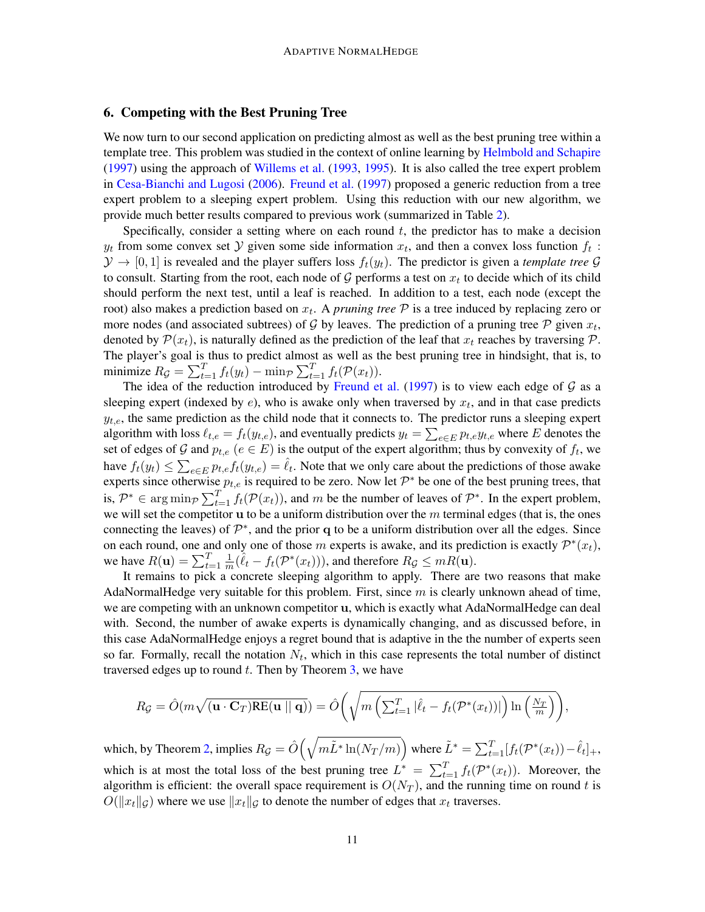# <span id="page-10-0"></span>6. Competing with the Best Pruning Tree

We now turn to our second application on predicting almost as well as the best pruning tree within a template tree. This problem was studied in the context of online learning by [Helmbold and Schapire](#page-12-12) [\(1997\)](#page-12-12) using the approach of [Willems et al.](#page-14-0) [\(1993,](#page-14-0) [1995\)](#page-14-1). It is also called the tree expert problem in [Cesa-Bianchi and Lugosi](#page-12-15) [\(2006\)](#page-12-15). [Freund et al.](#page-12-9) [\(1997\)](#page-12-9) proposed a generic reduction from a tree expert problem to a sleeping expert problem. Using this reduction with our new algorithm, we provide much better results compared to previous work (summarized in Table [2\)](#page-11-0).

Specifically, consider a setting where on each round  $t$ , the predictor has to make a decision  $y_t$  from some convex set  $\mathcal Y$  given some side information  $x_t$ , and then a convex loss function  $f_t$ :  $\mathcal{Y} \to [0, 1]$  is revealed and the player suffers loss  $f_t(y_t)$ . The predictor is given a *template tree*  $\mathcal{G}$ to consult. Starting from the root, each node of  $G$  performs a test on  $x_t$  to decide which of its child should perform the next test, until a leaf is reached. In addition to a test, each node (except the root) also makes a prediction based on  $x_t$ . A *pruning tree*  $P$  is a tree induced by replacing zero or more nodes (and associated subtrees) of G by leaves. The prediction of a pruning tree  $P$  given  $x_t$ , denoted by  $\mathcal{P}(x_t)$ , is naturally defined as the prediction of the leaf that  $x_t$  reaches by traversing  $\mathcal{P}$ . The player's goal is thus to predict almost as well as the best pruning tree in hindsight, that is, to minimize  $R_{\mathcal{G}} = \sum_{t=1}^{T} f_t(y_t) - \min_{\mathcal{P}} \sum_{t=1}^{T} f_t(\mathcal{P}(x_t)).$ 

The idea of the reduction introduced by [Freund et al.](#page-12-9) [\(1997\)](#page-12-9) is to view each edge of  $G$  as a sleeping expert (indexed by  $e$ ), who is awake only when traversed by  $x_t$ , and in that case predicts  $y_{t,e}$ , the same prediction as the child node that it connects to. The predictor runs a sleeping expert algorithm with loss  $\ell_{t,e} = f_t(y_{t,e})$ , and eventually predicts  $y_t = \sum_{e \in E} p_{t,e} y_{t,e}$  where  $E$  denotes the set of edges of G and  $p_{t,e}$   $(e \in E)$  is the output of the expert algorithm; thus by convexity of  $f_t$ , we have  $f_t(y_t) \leq \sum_{e \in E} p_{t,e} f_t(y_{t,e}) = \hat{\ell}_t$ . Note that we only care about the predictions of those awake experts since otherwise  $p_{t,e}$  is required to be zero. Now let  $\mathcal{P}^*$  be one of the best pruning trees, that is,  $\mathcal{P}^* \in \arg \min_{\mathcal{P}} \sum_{t=1}^T f_t(\mathcal{P}(x_t))$ , and m be the number of leaves of  $\mathcal{P}^*$ . In the expert problem, we will set the competitor  $\bf{u}$  to be a uniform distribution over the m terminal edges (that is, the ones connecting the leaves) of  $\mathcal{P}^*$ , and the prior q to be a uniform distribution over all the edges. Since on each round, one and only one of those m experts is awake, and its prediction is exactly  $\mathcal{P}^*(x_t)$ , we have  $R(\mathbf{u}) = \sum_{t=1}^{T} \frac{1}{m}$  $\frac{1}{m}(\hat{\ell}_t - f_t(\mathcal{P}^*(x_t))),$  and therefore  $R_g \leq mR(\mathbf{u}).$ 

It remains to pick a concrete sleeping algorithm to apply. There are two reasons that make AdaNormalHedge very suitable for this problem. First, since  $m$  is clearly unknown ahead of time, we are competing with an unknown competitor **u**, which is exactly what AdaNormalHedge can deal with. Second, the number of awake experts is dynamically changing, and as discussed before, in this case AdaNormalHedge enjoys a regret bound that is adaptive in the the number of experts seen so far. Formally, recall the notation  $N_t$ , which in this case represents the total number of distinct traversed edges up to round  $t$ . Then by Theorem  $3$ , we have

$$
R_{\mathcal{G}} = \hat{O}(m\sqrt{(\mathbf{u} \cdot \mathbf{C}_{T})\text{RE}(\mathbf{u} \mid \mid \mathbf{q})}) = \hat{O}\bigg(\sqrt{m\left(\sum_{t=1}^{T}|\hat{\ell}_{t} - f_{t}(\mathcal{P}^{*}(x_{t}))|\right)\ln\left(\frac{N_{T}}{m}\right)}\bigg),
$$

which, by Theorem [2,](#page-4-2) implies  $R_{\mathcal{G}}=\hat{O}\Big(\sqrt{m\tilde{L}^*\ln(N_T/m)}\Big)$  where  $\tilde{L}^*=\sum_{t=1}^T [f_t(\mathcal{P}^*(x_t))-\hat{\ell}_t]_+,$ which is at most the total loss of the best pruning tree  $L^* = \sum_{t=1}^T f_t(\mathcal{P}^*(x_t))$ . Moreover, the algorithm is efficient: the overall space requirement is  $O(N_T)$ , and the running time on round t is  $O(\|x_t\|_{\mathcal{G}})$  where we use  $\|x_t\|_{\mathcal{G}}$  to denote the number of edges that  $x_t$  traverses.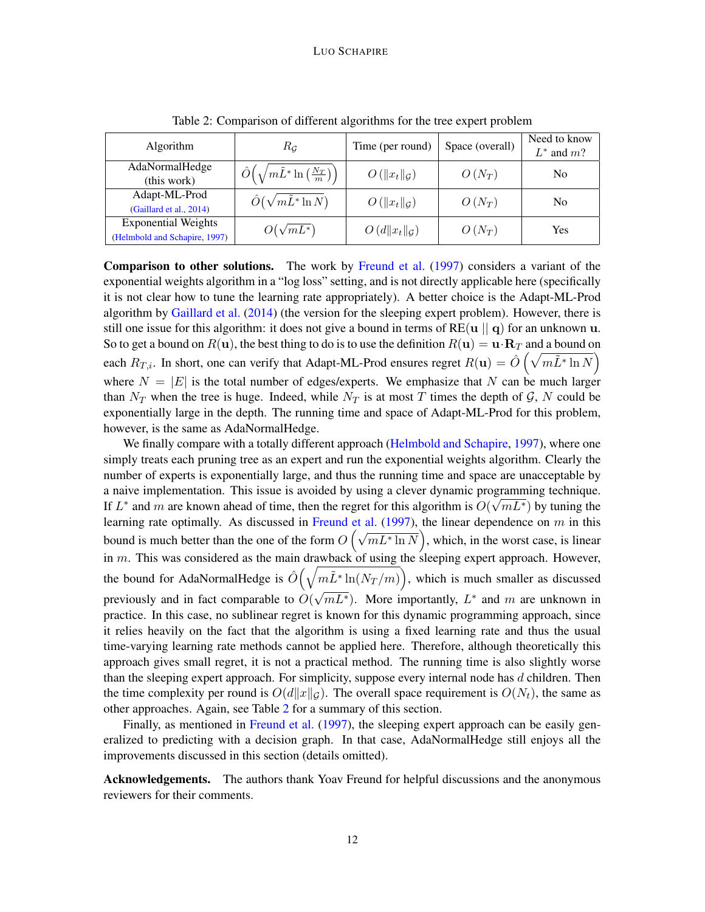<span id="page-11-0"></span>

| Algorithm                     | $R_G$                                                                   | Time (per round)            | Space (overall) | Need to know<br>$L^*$ and $m$ ? |
|-------------------------------|-------------------------------------------------------------------------|-----------------------------|-----------------|---------------------------------|
| AdaNormalHedge                | $\hat{O}\left(\sqrt{m\tilde{L}^* \ln\left(\frac{N_T}{m}\right)}\right)$ | $O(  x_t  _{\mathcal{G}})$  | $O(N_T)$        | N <sub>0</sub>                  |
| (this work)                   |                                                                         |                             |                 |                                 |
| Adapt-ML-Prod                 | $\hat{O}(\sqrt{m}\tilde{L}^*\ln N)$                                     | $O(  x_t  _G)$              | $O(N_T)$        | N <sub>0</sub>                  |
| (Gaillard et al., 2014)       |                                                                         |                             |                 |                                 |
| <b>Exponential Weights</b>    | $O(\sqrt{mL^*})$                                                        | $O(d  x_t  _{\mathcal{G}})$ | $O(N_T)$        | Yes                             |
| (Helmbold and Schapire, 1997) |                                                                         |                             |                 |                                 |

Table 2: Comparison of different algorithms for the tree expert problem

Comparison to other solutions. The work by [Freund et al.](#page-12-9) [\(1997\)](#page-12-9) considers a variant of the exponential weights algorithm in a "log loss" setting, and is not directly applicable here (specifically it is not clear how to tune the learning rate appropriately). A better choice is the Adapt-ML-Prod algorithm by [Gaillard et al.](#page-12-7) [\(2014\)](#page-12-7) (the version for the sleeping expert problem). However, there is still one issue for this algorithm: it does not give a bound in terms of  $RE(u || q)$  for an unknown u. So to get a bound on  $R(\mathbf{u})$ , the best thing to do is to use the definition  $R(\mathbf{u}) = \mathbf{u} \cdot \mathbf{R}_T$  and a bound on each  $R_{T,i}$ . In short, one can verify that Adapt-ML-Prod ensures regret  $R(\mathbf{u}) = \hat{O}\left(\sqrt{m\tilde{L}^*\ln N}\right)$ where  $N = |E|$  is the total number of edges/experts. We emphasize that N can be much larger than  $N_T$  when the tree is huge. Indeed, while  $N_T$  is at most T times the depth of G, N could be exponentially large in the depth. The running time and space of Adapt-ML-Prod for this problem, however, is the same as AdaNormalHedge.

We finally compare with a totally different approach [\(Helmbold and Schapire,](#page-12-12) [1997\)](#page-12-12), where one simply treats each pruning tree as an expert and run the exponential weights algorithm. Clearly the number of experts is exponentially large, and thus the running time and space are unacceptable by a naive implementation. This issue is avoided by using a clever dynamic programming technique. If  $L^*$  and m are known ahead of time, then the regret for this algorithm is  $O(\sqrt{mL^*})$  by tuning the learning rate optimally. As discussed in [Freund et al.](#page-12-9)  $(1997)$ , the linear dependence on m in this bound is much better than the one of the form  $O(\sqrt{mL^* \ln N})$ , which, in the worst case, is linear in  $m$ . This was considered as the main drawback of using the sleeping expert approach. However, the bound for AdaNormalHedge is  $\hat{O}(\sqrt{m\tilde{L}^*\ln(N_T/m)})$ , which is much smaller as discussed previously and in fact comparable to  $O(\sqrt{mL^*})$ . More importantly,  $L^*$  and m are unknown in √ practice. In this case, no sublinear regret is known for this dynamic programming approach, since it relies heavily on the fact that the algorithm is using a fixed learning rate and thus the usual time-varying learning rate methods cannot be applied here. Therefore, although theoretically this approach gives small regret, it is not a practical method. The running time is also slightly worse than the sleeping expert approach. For simplicity, suppose every internal node has  $d$  children. Then the time complexity per round is  $O(d||x||_G)$ . The overall space requirement is  $O(N_t)$ , the same as other approaches. Again, see Table [2](#page-11-0) for a summary of this section.

Finally, as mentioned in [Freund et al.](#page-12-9) [\(1997\)](#page-12-9), the sleeping expert approach can be easily generalized to predicting with a decision graph. In that case, AdaNormalHedge still enjoys all the improvements discussed in this section (details omitted).

Acknowledgements. The authors thank Yoav Freund for helpful discussions and the anonymous reviewers for their comments.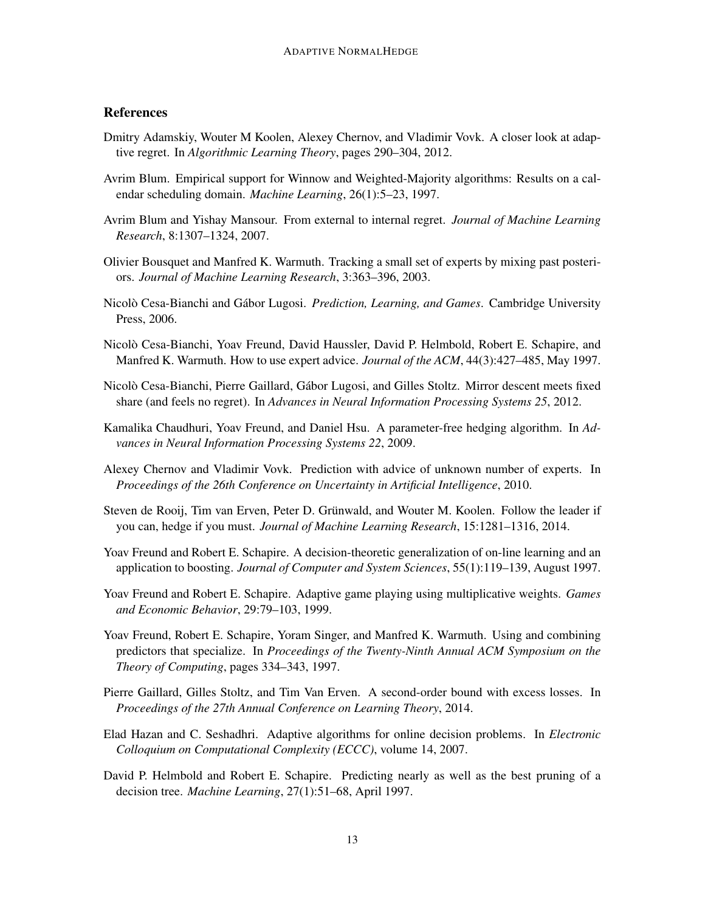# References

- <span id="page-12-13"></span>Dmitry Adamskiy, Wouter M Koolen, Alexey Chernov, and Vladimir Vovk. A closer look at adaptive regret. In *Algorithmic Learning Theory*, pages 290–304, 2012.
- <span id="page-12-8"></span>Avrim Blum. Empirical support for Winnow and Weighted-Majority algorithms: Results on a calendar scheduling domain. *Machine Learning*, 26(1):5–23, 1997.
- <span id="page-12-5"></span>Avrim Blum and Yishay Mansour. From external to internal regret. *Journal of Machine Learning Research*, 8:1307–1324, 2007.
- <span id="page-12-11"></span>Olivier Bousquet and Manfred K. Warmuth. Tracking a small set of experts by mixing past posteriors. *Journal of Machine Learning Research*, 3:363–396, 2003.
- <span id="page-12-15"></span>Nicolò Cesa-Bianchi and Gábor Lugosi. *Prediction, Learning, and Games*. Cambridge University Press, 2006.
- <span id="page-12-3"></span>Nicolò Cesa-Bianchi, Yoav Freund, David Haussler, David P. Helmbold, Robert E. Schapire, and Manfred K. Warmuth. How to use expert advice. *Journal of the ACM*, 44(3):427–485, May 1997.
- <span id="page-12-4"></span>Nicolò Cesa-Bianchi, Pierre Gaillard, Gábor Lugosi, and Gilles Stoltz. Mirror descent meets fixed share (and feels no regret). In *Advances in Neural Information Processing Systems 25*, 2012.
- <span id="page-12-0"></span>Kamalika Chaudhuri, Yoav Freund, and Daniel Hsu. A parameter-free hedging algorithm. In *Advances in Neural Information Processing Systems 22*, 2009.
- <span id="page-12-1"></span>Alexey Chernov and Vladimir Vovk. Prediction with advice of unknown number of experts. In *Proceedings of the 26th Conference on Uncertainty in Artificial Intelligence*, 2010.
- <span id="page-12-6"></span>Steven de Rooij, Tim van Erven, Peter D. Grünwald, and Wouter M. Koolen. Follow the leader if you can, hedge if you must. *Journal of Machine Learning Research*, 15:1281–1316, 2014.
- <span id="page-12-2"></span>Yoav Freund and Robert E. Schapire. A decision-theoretic generalization of on-line learning and an application to boosting. *Journal of Computer and System Sciences*, 55(1):119–139, August 1997.
- <span id="page-12-14"></span>Yoav Freund and Robert E. Schapire. Adaptive game playing using multiplicative weights. *Games and Economic Behavior*, 29:79–103, 1999.
- <span id="page-12-9"></span>Yoav Freund, Robert E. Schapire, Yoram Singer, and Manfred K. Warmuth. Using and combining predictors that specialize. In *Proceedings of the Twenty-Ninth Annual ACM Symposium on the Theory of Computing*, pages 334–343, 1997.
- <span id="page-12-7"></span>Pierre Gaillard, Gilles Stoltz, and Tim Van Erven. A second-order bound with excess losses. In *Proceedings of the 27th Annual Conference on Learning Theory*, 2014.
- <span id="page-12-10"></span>Elad Hazan and C. Seshadhri. Adaptive algorithms for online decision problems. In *Electronic Colloquium on Computational Complexity (ECCC)*, volume 14, 2007.
- <span id="page-12-12"></span>David P. Helmbold and Robert E. Schapire. Predicting nearly as well as the best pruning of a decision tree. *Machine Learning*, 27(1):51–68, April 1997.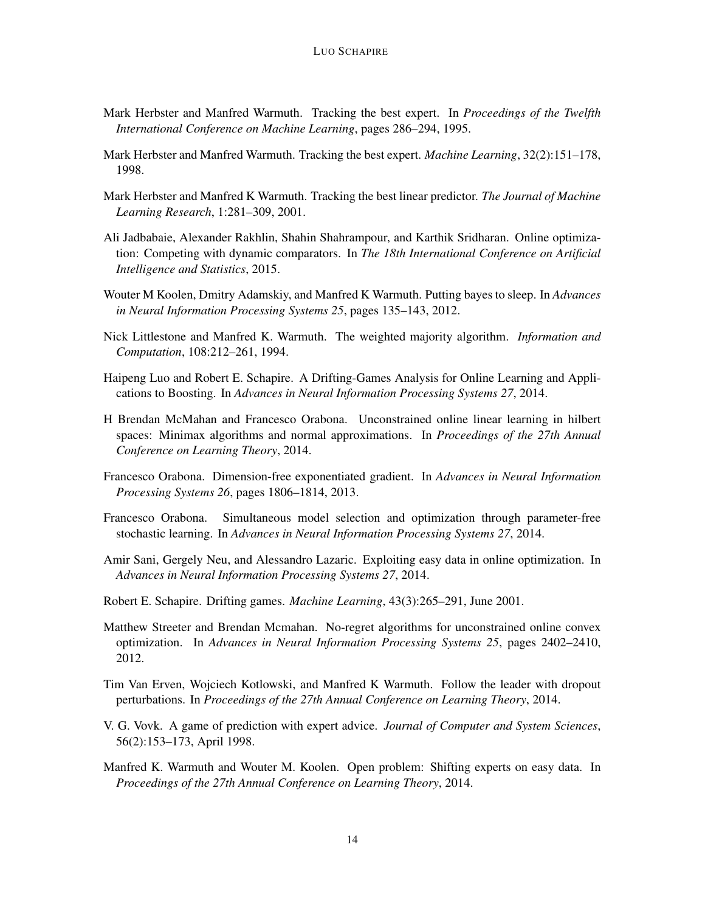- <span id="page-13-7"></span>Mark Herbster and Manfred Warmuth. Tracking the best expert. In *Proceedings of the Twelfth International Conference on Machine Learning*, pages 286–294, 1995.
- <span id="page-13-14"></span>Mark Herbster and Manfred Warmuth. Tracking the best expert. *Machine Learning*, 32(2):151–178, 1998.
- <span id="page-13-4"></span>Mark Herbster and Manfred K Warmuth. Tracking the best linear predictor. *The Journal of Machine Learning Research*, 1:281–309, 2001.
- <span id="page-13-13"></span>Ali Jadbabaie, Alexander Rakhlin, Shahin Shahrampour, and Karthik Sridharan. Online optimization: Competing with dynamic comparators. In *The 18th International Conference on Artificial Intelligence and Statistics*, 2015.
- <span id="page-13-6"></span>Wouter M Koolen, Dmitry Adamskiy, and Manfred K Warmuth. Putting bayes to sleep. In *Advances in Neural Information Processing Systems 25*, pages 135–143, 2012.
- <span id="page-13-2"></span>Nick Littlestone and Manfred K. Warmuth. The weighted majority algorithm. *Information and Computation*, 108:212–261, 1994.
- <span id="page-13-0"></span>Haipeng Luo and Robert E. Schapire. A Drifting-Games Analysis for Online Learning and Applications to Boosting. In *Advances in Neural Information Processing Systems 27*, 2014.
- <span id="page-13-11"></span>H Brendan McMahan and Francesco Orabona. Unconstrained online linear learning in hilbert spaces: Minimax algorithms and normal approximations. In *Proceedings of the 27th Annual Conference on Learning Theory*, 2014.
- <span id="page-13-10"></span>Francesco Orabona. Dimension-free exponentiated gradient. In *Advances in Neural Information Processing Systems 26*, pages 1806–1814, 2013.
- <span id="page-13-12"></span>Francesco Orabona. Simultaneous model selection and optimization through parameter-free stochastic learning. In *Advances in Neural Information Processing Systems 27*, 2014.
- <span id="page-13-8"></span>Amir Sani, Gergely Neu, and Alessandro Lazaric. Exploiting easy data in online optimization. In *Advances in Neural Information Processing Systems 27*, 2014.
- <span id="page-13-15"></span>Robert E. Schapire. Drifting games. *Machine Learning*, 43(3):265–291, June 2001.
- <span id="page-13-9"></span>Matthew Streeter and Brendan Mcmahan. No-regret algorithms for unconstrained online convex optimization. In *Advances in Neural Information Processing Systems 25*, pages 2402–2410, 2012.
- <span id="page-13-5"></span>Tim Van Erven, Wojciech Kotlowski, and Manfred K Warmuth. Follow the leader with dropout perturbations. In *Proceedings of the 27th Annual Conference on Learning Theory*, 2014.
- <span id="page-13-3"></span>V. G. Vovk. A game of prediction with expert advice. *Journal of Computer and System Sciences*, 56(2):153–173, April 1998.
- <span id="page-13-1"></span>Manfred K. Warmuth and Wouter M. Koolen. Open problem: Shifting experts on easy data. In *Proceedings of the 27th Annual Conference on Learning Theory*, 2014.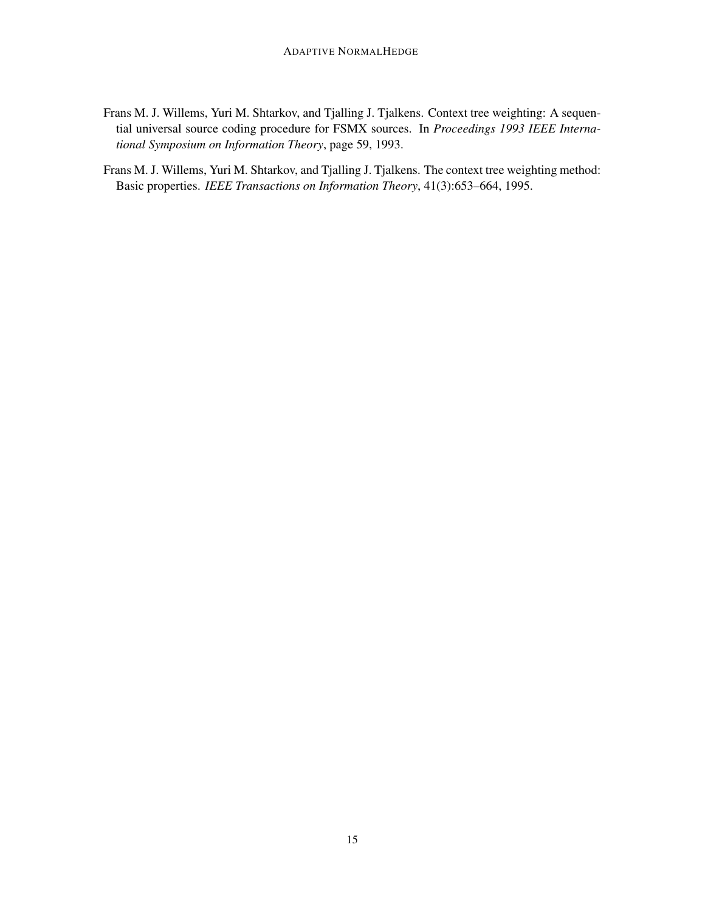- <span id="page-14-0"></span>Frans M. J. Willems, Yuri M. Shtarkov, and Tjalling J. Tjalkens. Context tree weighting: A sequential universal source coding procedure for FSMX sources. In *Proceedings 1993 IEEE International Symposium on Information Theory*, page 59, 1993.
- <span id="page-14-1"></span>Frans M. J. Willems, Yuri M. Shtarkov, and Tjalling J. Tjalkens. The context tree weighting method: Basic properties. *IEEE Transactions on Information Theory*, 41(3):653–664, 1995.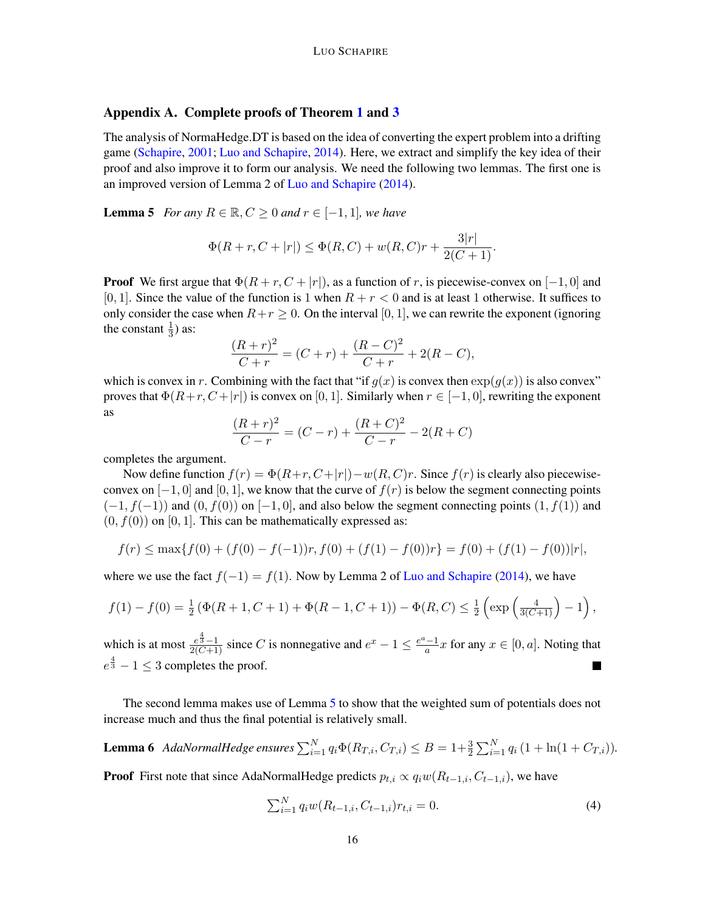# <span id="page-15-0"></span>Appendix A. Complete proofs of Theorem [1](#page-4-3) and [3](#page-6-2)

The analysis of NormaHedge.DT is based on the idea of converting the expert problem into a drifting game [\(Schapire,](#page-13-15) [2001;](#page-13-15) [Luo and Schapire,](#page-13-0) [2014\)](#page-13-0). Here, we extract and simplify the key idea of their proof and also improve it to form our analysis. We need the following two lemmas. The first one is an improved version of Lemma 2 of [Luo and Schapire](#page-13-0) [\(2014\)](#page-13-0).

<span id="page-15-1"></span>**Lemma 5** *For any*  $R \in \mathbb{R}$ ,  $C \geq 0$  *and*  $r \in [-1, 1]$ *, we have* 

$$
\Phi(R+r, C+|r|) \le \Phi(R, C) + w(R, C)r + \frac{3|r|}{2(C+1)}.
$$

**Proof** We first argue that  $\Phi(R + r, C + |r|)$ , as a function of r, is piecewise-convex on [-1, 0] and [0, 1]. Since the value of the function is 1 when  $R + r < 0$  and is at least 1 otherwise. It suffices to only consider the case when  $R+r \geq 0$ . On the interval [0, 1], we can rewrite the exponent (ignoring the constant  $\frac{1}{3}$ ) as:

$$
\frac{(R+r)^2}{C+r} = (C+r) + \frac{(R-C)^2}{C+r} + 2(R-C),
$$

which is convex in r. Combining with the fact that "if  $q(x)$  is convex then  $\exp(q(x))$  is also convex" proves that  $\Phi(R+r, C+|r|)$  is convex on [0, 1]. Similarly when  $r \in [-1, 0]$ , rewriting the exponent as

$$
\frac{(R+r)^2}{C-r} = (C-r) + \frac{(R+C)^2}{C-r} - 2(R+C)
$$

completes the argument.

Now define function  $f(r) = \Phi(R+r, C+|r|)-w(R, C)r$ . Since  $f(r)$  is clearly also piecewiseconvex on  $[-1, 0]$  and  $[0, 1]$ , we know that the curve of  $f(r)$  is below the segment connecting points  $(-1, f(-1))$  and  $(0, f(0))$  on  $[-1, 0]$ , and also below the segment connecting points  $(1, f(1))$  and  $(0, f(0))$  on  $[0, 1]$ . This can be mathematically expressed as:

$$
f(r) \le \max\{f(0) + (f(0) - f(-1))r, f(0) + (f(1) - f(0))r\} = f(0) + (f(1) - f(0))|r|,
$$

where we use the fact  $f(-1) = f(1)$ . Now by Lemma 2 of [Luo and Schapire](#page-13-0) [\(2014\)](#page-13-0), we have

$$
f(1) - f(0) = \frac{1}{2} \left( \Phi(R+1, C+1) + \Phi(R-1, C+1) \right) - \Phi(R, C) \leq \frac{1}{2} \left( \exp \left( \frac{4}{3(C+1)} \right) - 1 \right),
$$

which is at most  $\frac{e^{\frac{4}{3}}-1}{2(C+1)}$  since C is nonnegative and  $e^x - 1 \le \frac{e^a - 1}{a}$  $\frac{a-1}{a}x$  for any  $x \in [0, a]$ . Noting that  $e^{\frac{4}{3}} - 1 \leq 3$  completes the proof.  $\blacksquare$ 

The second lemma makes use of Lemma [5](#page-15-1) to show that the weighted sum of potentials does not increase much and thus the final potential is relatively small.

<span id="page-15-2"></span>**Lemma 6** *AdaNormalHedge ensures* 
$$
\sum_{i=1}^{N} q_i \Phi(R_{T,i}, C_{T,i}) \leq B = 1 + \frac{3}{2} \sum_{i=1}^{N} q_i (1 + \ln(1 + C_{T,i})).
$$

**Proof** First note that since AdaNormalHedge predicts  $p_{t,i} \propto q_i w(R_{t-1,i}, C_{t-1,i})$ , we have

<span id="page-15-3"></span>
$$
\sum_{i=1}^{N} q_i w(R_{t-1,i}, C_{t-1,i}) r_{t,i} = 0.
$$
\n(4)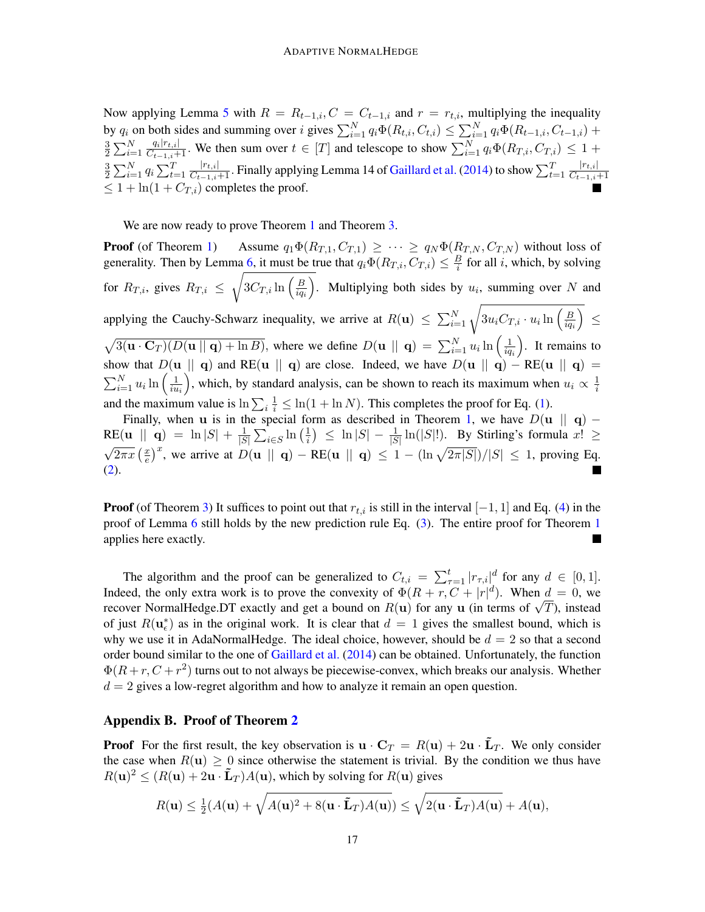Now applying Lemma [5](#page-15-1) with  $R = R_{t-1,i}, C = C_{t-1,i}$  and  $r = r_{t,i}$ , multiplying the inequality by  $q_i$  on both sides and summing over i gives  $\sum_{i=1}^{N} q_i \Phi(R_{t,i}, C_{t,i}) \leq \sum_{i=1}^{N} q_i \Phi(R_{t-1,i}, C_{t-1,i})$  + 3  $\frac{3}{2} \sum_{i=1}^{N}$  $\frac{q_i|r_{t,i}|}{C_{t-1,i}+1}$ . We then sum over  $t \in [T]$  and telescope to show  $\sum_{i=1}^{N} q_i \Phi(R_{T,i}, C_{T,i}) \leq 1 +$ 3  $\frac{3}{2} \sum_{i=1}^{N} q_i \sum_{t=1}^{T}$  $\frac{|r_{t,i}|}{C_{t-1,i}+1}.$  Finally applying Lemma 14 of [Gaillard et al.](#page-12-7) [\(2014\)](#page-12-7) to show  $\sum_{t=1}^T$  $|r_{t,i}|$  $\overline{C_{t-1,i+1}}$  $\leq 1 + \ln(1 + C_{T,i})$  completes the proof.

We are now ready to prove Theorem [1](#page-4-3) and Theorem [3.](#page-6-2)

**Proof** (of Theorem [1\)](#page-4-3) Assume  $q_1\Phi(R_{T,1}, C_{T,1}) \geq \cdots \geq q_N\Phi(R_{T,N}, C_{T,N})$  without loss of generality. Then by Lemma [6,](#page-15-2) it must be true that  $q_i \Phi(R_{T,i}, C_{T,i}) \leq \frac{B}{i}$  $\frac{B}{i}$  for all *i*, which, by solving for  $R_{T,i}$ , gives  $R_{T,i} \leq \sqrt{3C_{T,i}\ln\left(\frac{B}{ia}\right)}$  $iq_i$ ). Multiplying both sides by  $u_i$ , summing over N and applying the Cauchy-Schwarz inequality, we arrive at  $R(\mathbf{u}) \leq \sum_{i=1}^{N} \sqrt{3u_i C_{T,i} \cdot u_i \ln \left(\frac{B}{i q_i}\right)}$  $\overline{iq_i}$  ≤  $\sqrt{3(u \cdot C_T)(D(u || q) + \ln B)}$ , where we define  $D(u || q) = \sum_{i=1}^{N} u_i \ln \left( \frac{1}{iq} \right)$  $iq_i$  . It remains to show that  $D(\mathbf{u} \parallel \mathbf{q})$  and RE( $\mathbf{u} \parallel \mathbf{q}$ ) are close. Indeed, we have  $D(\mathbf{u} \parallel \mathbf{q}) - RE(\mathbf{u} \parallel \mathbf{q}) =$  $\sum_{i=1}^{N} u_i \ln \left( \frac{1}{i u} \right)$  $\overline{iu_i}$ ), which, by standard analysis, can be shown to reach its maximum when  $u_i \propto \frac{1}{i}$ i and the maximum value is  $\ln \sum_i \frac{1}{i} \leq \ln(1 + \ln N)$ . This completes the proof for Eq. [\(1\)](#page-4-4).

Finally, when **u** is in the special form as described in Theorem [1,](#page-4-3) we have  $D(\mathbf{u} \parallel \mathbf{q})$  –  $RE(\mathbf{u} \parallel \mathbf{q}) = \ln |S| + \frac{1}{|S|}$  $\frac{1}{|S|}\sum_{i\in S}\ln\left(\frac{1}{i}\right)$  $\frac{1}{i}$ )  $\leq \ln |S| - \frac{1}{|S|} \ln(|S|!)$ . By Stirling's formula  $x! \geq$ √  $\sqrt{2\pi x}\left(\frac{x}{e}\right)$  $\frac{d}{d\epsilon}(\frac{x}{\epsilon})^x$ , we arrive at  $D(\mathbf{u} \parallel \mathbf{q}) - \text{RE}(\mathbf{u} \parallel \mathbf{q}) \leq 1 - (\ln \sqrt{2\pi|S|})/|S| \leq 1$ , proving Eq. [\(2\)](#page-4-1).

**Proof** (of Theorem [3\)](#page-6-2) It suffices to point out that  $r_{t,i}$  is still in the interval  $[-1, 1]$  and Eq. [\(4\)](#page-15-3) in the proof of Lemma [6](#page-15-2) still holds by the new prediction rule Eq. [\(3\)](#page-6-1). The entire proof for Theorem [1](#page-4-3) applies here exactly.

The algorithm and the proof can be generalized to  $C_{t,i} = \sum_{\tau=1}^{t} |r_{\tau,i}|^d$  for any  $d \in [0,1]$ . Indeed, the only extra work is to prove the convexity of  $\Phi(R + r, C + |r|^d)$ . When  $d = 0$ , we recover NormalHedge.DT exactly and get a bound on  $R(\mathbf{u})$  for any  $\mathbf{u}$  (in terms of  $\sqrt{T}$ ), instead of just  $R(\mathbf{u}_{\epsilon}^*)$  as in the original work. It is clear that  $d = 1$  gives the smallest bound, which is why we use it in AdaNormalHedge. The ideal choice, however, should be  $d = 2$  so that a second order bound similar to the one of [Gaillard et al.](#page-12-7) [\(2014\)](#page-12-7) can be obtained. Unfortunately, the function  $\Phi(R+r, C+r^2)$  turns out to not always be piecewise-convex, which breaks our analysis. Whether  $d = 2$  gives a low-regret algorithm and how to analyze it remain an open question.

### <span id="page-16-0"></span>Appendix B. Proof of Theorem [2](#page-4-2)

**Proof** For the first result, the key observation is  $\mathbf{u} \cdot \mathbf{C}_T = R(\mathbf{u}) + 2\mathbf{u} \cdot \mathbf{L}_T$ . We only consider the case when  $R(\mathbf{u}) \geq 0$  since otherwise the statement is trivial. By the condition we thus have  $R(\mathbf{u})^2 \leq (R(\mathbf{u}) + 2\mathbf{u} \cdot \mathbf{L}_T)A(\mathbf{u})$ , which by solving for  $R(\mathbf{u})$  gives

$$
R(\mathbf{u}) \leq \frac{1}{2}(A(\mathbf{u}) + \sqrt{A(\mathbf{u})^2 + 8(\mathbf{u} \cdot \tilde{\mathbf{L}}_T)A(\mathbf{u})}) \leq \sqrt{2(\mathbf{u} \cdot \tilde{\mathbf{L}}_T)A(\mathbf{u})} + A(\mathbf{u}),
$$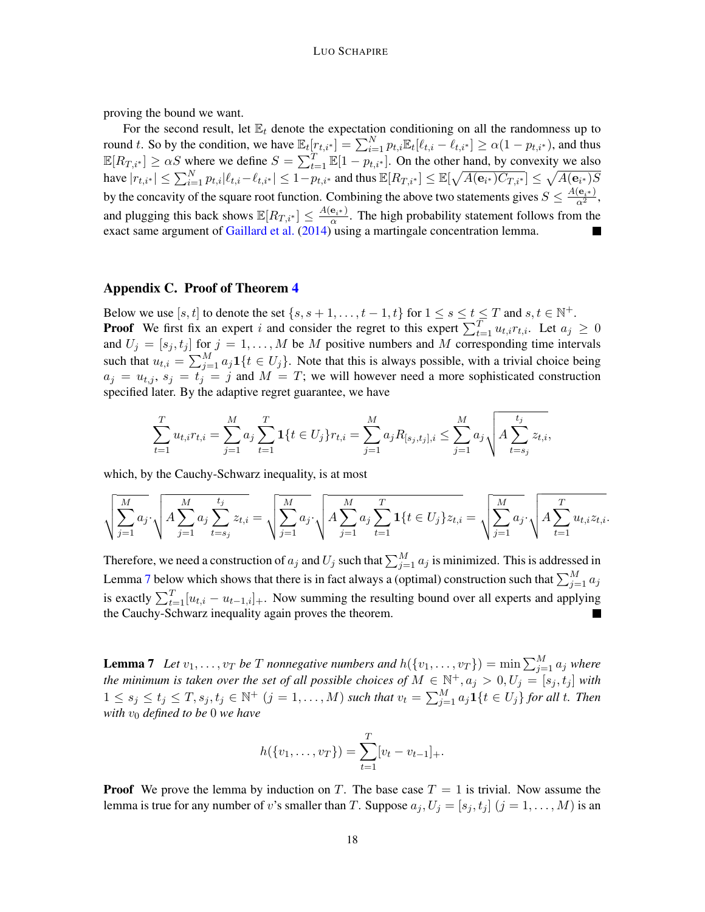proving the bound we want.

For the second result, let  $\mathbb{E}_t$  denote the expectation conditioning on all the randomness up to round t. So by the condition, we have  $\mathbb{E}_t[r_{t,i^*}] = \sum_{i=1}^N p_{t,i} \mathbb{E}_t[\ell_{t,i} - \ell_{t,i^*}] \ge \alpha(1 - p_{t,i^*})$ , and thus  $\mathbb{E}[R_{T,i^*}] \ge \alpha S$  where we define  $S = \sum_{t=1}^T \mathbb{E}[1 - p_{t,i^*}]$ . On the other hand, by convexity we also have  $|r_{t,i^*}| \leq \sum_{i=1}^N p_{t,i} |\ell_{t,i} - \ell_{t,i^*}| \leq 1 - p_{t,i^*}$  and thus  $\mathbb{E}[R_{T,i^*}] \leq \mathbb{E}[\sqrt{A(\mathbf{e}_{i^*}) C_{T,i^*}}] \leq \sqrt{A(\mathbf{e}_{i^*}) S}$ by the concavity of the square root function. Combining the above two statements gives  $S \leq \frac{A(e_{i^*})}{\alpha^2}$ , and plugging this back shows  $\mathbb{E}[R_{T,i^*}] \leq \frac{A(e_{i^*})}{\alpha}$ . The high probability statement follows from the exact same argument of [Gaillard et al.](#page-12-7) [\(2014\)](#page-12-7) using a martingale concentration lemma.

#### <span id="page-17-0"></span>Appendix C. Proof of Theorem [4](#page-9-1)

Below we use  $[s, t]$  to denote the set  $\{s, s+1, \ldots, t-1, t\}$  for  $1 \le s \le t \le T$  and  $s, t \in \mathbb{N}^+$ . **Proof** We first fix an expert i and consider the regret to this expert  $\sum_{t=1}^{T} u_{t,i} r_{t,i}$ . Let  $a_j \ge 0$ and  $U_j = [s_j, t_j]$  for  $j = 1, ..., M$  be M positive numbers and M corresponding time intervals such that  $u_{t,i} = \sum_{j=1}^{M} a_j \mathbf{1}\{t \in U_j\}$ . Note that this is always possible, with a trivial choice being  $a_j = u_{t,j}, s_j = t_j = j$  and  $M = T$ ; we will however need a more sophisticated construction specified later. By the adaptive regret guarantee, we have

$$
\sum_{t=1}^{T} u_{t,i} r_{t,i} = \sum_{j=1}^{M} a_j \sum_{t=1}^{T} \mathbf{1}\{t \in U_j\} r_{t,i} = \sum_{j=1}^{M} a_j R_{[s_j,t_j],i} \le \sum_{j=1}^{M} a_j \sqrt{A \sum_{t=s_j}^{t_j} z_{t,i}},
$$

which, by the Cauchy-Schwarz inequality, is at most

$$
\sqrt{\sum_{j=1}^{M} a_j} \cdot \sqrt{A \sum_{j=1}^{M} a_j \sum_{t=s_j}^{t_j} z_{t,i}} = \sqrt{\sum_{j=1}^{M} a_j} \cdot \sqrt{A \sum_{j=1}^{M} a_j \sum_{t=1}^{T} \mathbf{1}\{t \in U_j\} z_{t,i}} = \sqrt{\sum_{j=1}^{M} a_j} \cdot \sqrt{A \sum_{t=1}^{T} u_{t,i} z_{t,i}}.
$$

Therefore, we need a construction of  $a_j$  and  $U_j$  such that  $\sum_{j=1}^M a_j$  is minimized. This is addressed in Lemma [7](#page-17-1) below which shows that there is in fact always a (optimal) construction such that  $\sum_{j=1}^M a_j$ is exactly  $\sum_{t=1}^{T} [u_{t,i} - u_{t-1,i}]_+$ . Now summing the resulting bound over all experts and applying the Cauchy-Schwarz inequality again proves the theorem.

<span id="page-17-1"></span>**Lemma 7** Let  $v_1, \ldots, v_T$  be T nonnegative numbers and  $h(\{v_1, \ldots, v_T\}) = \min \sum_{j=1}^M a_j$  where *the minimum is taken over the set of all possible choices of*  $M \in \mathbb{N}^+, a_j > 0, U_j = [s_j, t_j]$  with  $1 \leq s_j \leq t_j \leq T, s_j, t_j \in \mathbb{N}^+$   $(j = 1, \ldots, M)$  such that  $v_t = \sum_{j=1}^{M} a_j \mathbf{1}\{t \in U_j\}$  for all t. Then *with*  $v_0$  *defined to be* 0 *we have* 

$$
h({v_1,\ldots,v_T}) = \sum_{t=1}^T [v_t - v_{t-1}]_+.
$$

**Proof** We prove the lemma by induction on T. The base case  $T = 1$  is trivial. Now assume the lemma is true for any number of v's smaller than T. Suppose  $a_j, U_j = [s_j, t_j]$   $(j = 1, ..., M)$  is an